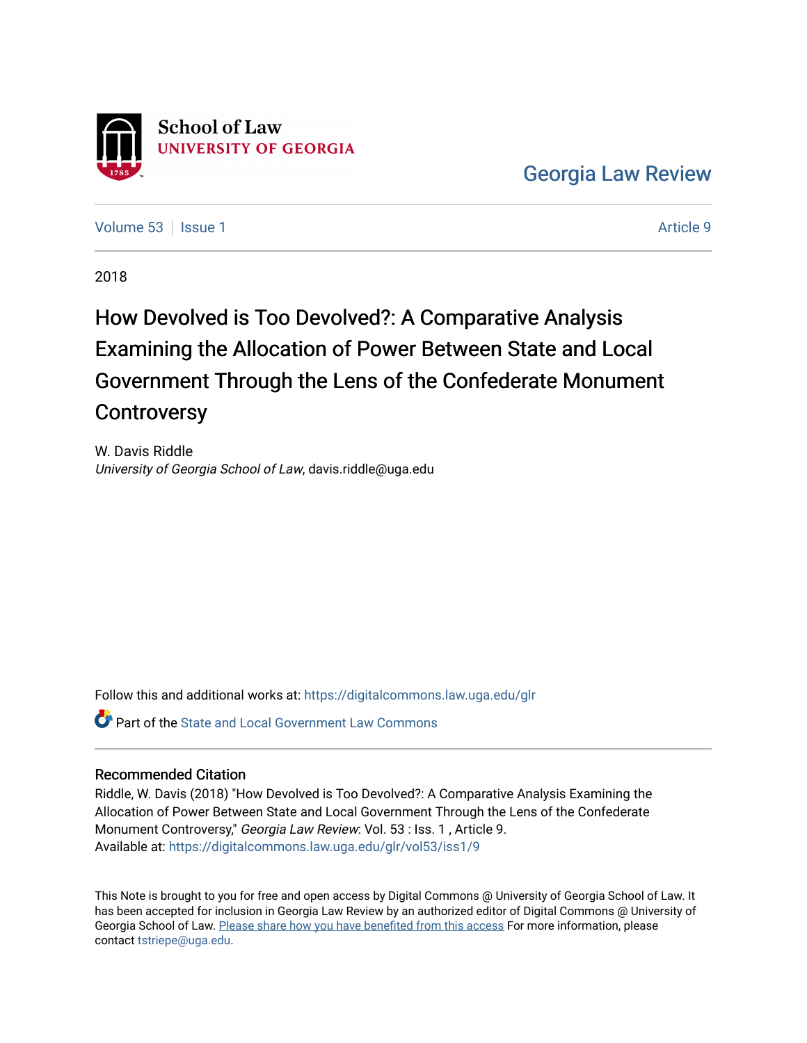

[Georgia Law Review](https://digitalcommons.law.uga.edu/glr) 

[Volume 53](https://digitalcommons.law.uga.edu/glr/vol53) | [Issue 1](https://digitalcommons.law.uga.edu/glr/vol53/iss1) Article 9

2018

# How Devolved is Too Devolved?: A Comparative Analysis Examining the Allocation of Power Between State and Local Government Through the Lens of the Confederate Monument **Controversy**

W. Davis Riddle University of Georgia School of Law, davis.riddle@uga.edu

Follow this and additional works at: [https://digitalcommons.law.uga.edu/glr](https://digitalcommons.law.uga.edu/glr?utm_source=digitalcommons.law.uga.edu%2Fglr%2Fvol53%2Fiss1%2F9&utm_medium=PDF&utm_campaign=PDFCoverPages) 

**P** Part of the [State and Local Government Law Commons](http://network.bepress.com/hgg/discipline/879?utm_source=digitalcommons.law.uga.edu%2Fglr%2Fvol53%2Fiss1%2F9&utm_medium=PDF&utm_campaign=PDFCoverPages)

## Recommended Citation

Riddle, W. Davis (2018) "How Devolved is Too Devolved?: A Comparative Analysis Examining the Allocation of Power Between State and Local Government Through the Lens of the Confederate Monument Controversy," Georgia Law Review: Vol. 53 : Iss. 1 , Article 9. Available at: [https://digitalcommons.law.uga.edu/glr/vol53/iss1/9](https://digitalcommons.law.uga.edu/glr/vol53/iss1/9?utm_source=digitalcommons.law.uga.edu%2Fglr%2Fvol53%2Fiss1%2F9&utm_medium=PDF&utm_campaign=PDFCoverPages)

This Note is brought to you for free and open access by Digital Commons @ University of Georgia School of Law. It has been accepted for inclusion in Georgia Law Review by an authorized editor of Digital Commons @ University of Georgia School of Law. [Please share how you have benefited from this access](https://docs.google.com/forms/d/e/1FAIpQLSc_7JxpD4JNSJyX6RwtrWT9ZyH0ZZhUyG3XrFAJV-kf1AGk6g/viewform) For more information, please contact [tstriepe@uga.edu](mailto:tstriepe@uga.edu).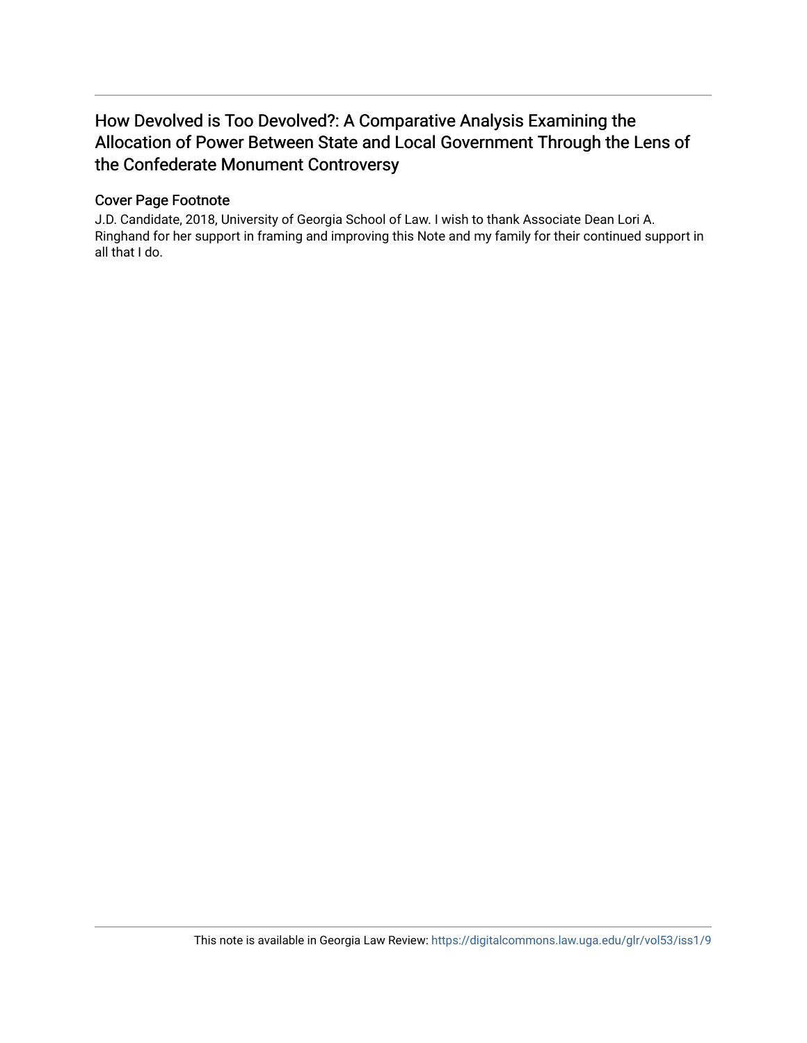## How Devolved is Too Devolved?: A Comparative Analysis Examining the Allocation of Power Between State and Local Government Through the Lens of the Confederate Monument Controversy

## Cover Page Footnote

J.D. Candidate, 2018, University of Georgia School of Law. I wish to thank Associate Dean Lori A. Ringhand for her support in framing and improving this Note and my family for their continued support in all that I do.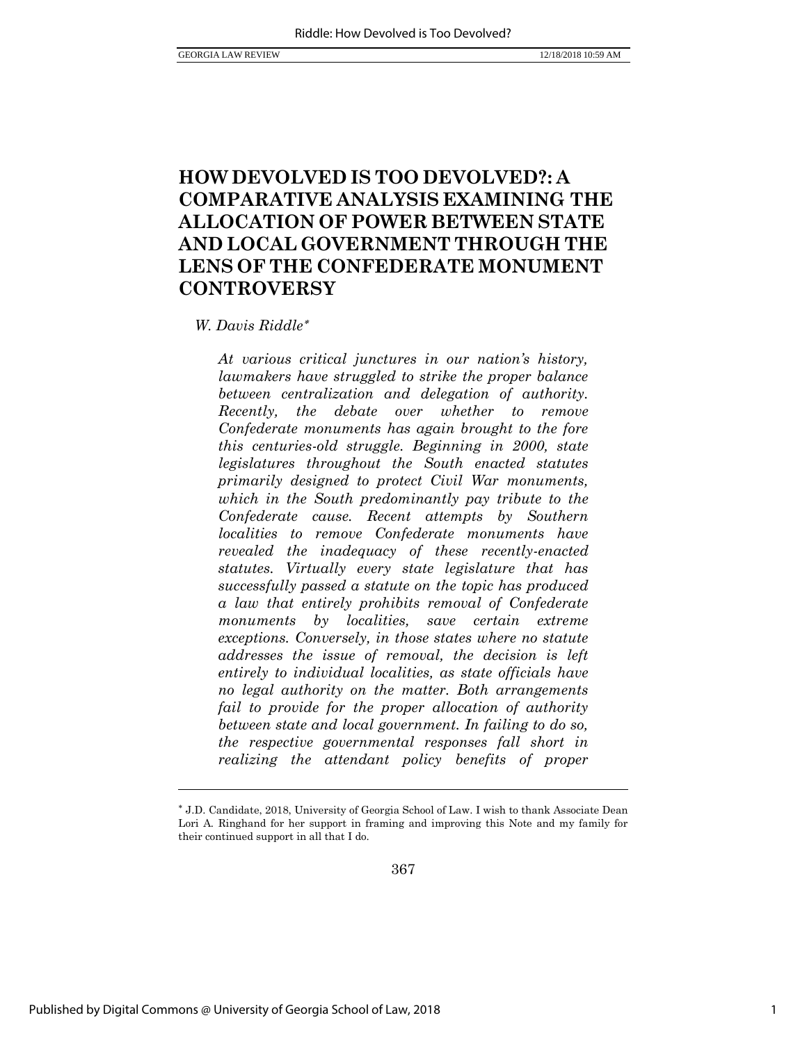## **HOW DEVOLVED IS TOO DEVOLVED?: A COMPARATIVE ANALYSIS EXAMINING THE ALLOCATION OF POWER BETWEEN STATE AND LOCAL GOVERNMENT THROUGH THE LENS OF THE CONFEDERATE MONUMENT CONTROVERSY**

### *W. Davis Riddle*

*At various critical junctures in our nation's history, lawmakers have struggled to strike the proper balance between centralization and delegation of authority. Recently, the debate over whether to remove Confederate monuments has again brought to the fore this centuries-old struggle. Beginning in 2000, state legislatures throughout the South enacted statutes primarily designed to protect Civil War monuments, which in the South predominantly pay tribute to the Confederate cause. Recent attempts by Southern localities to remove Confederate monuments have revealed the inadequacy of these recently-enacted statutes. Virtually every state legislature that has successfully passed a statute on the topic has produced a law that entirely prohibits removal of Confederate monuments by localities, save certain extreme exceptions. Conversely, in those states where no statute addresses the issue of removal, the decision is left entirely to individual localities, as state officials have no legal authority on the matter. Both arrangements fail to provide for the proper allocation of authority between state and local government. In failing to do so, the respective governmental responses fall short in realizing the attendant policy benefits of proper* 

367

J.D. Candidate, 2018, University of Georgia School of Law. I wish to thank Associate Dean Lori A. Ringhand for her support in framing and improving this Note and my family for their continued support in all that I do.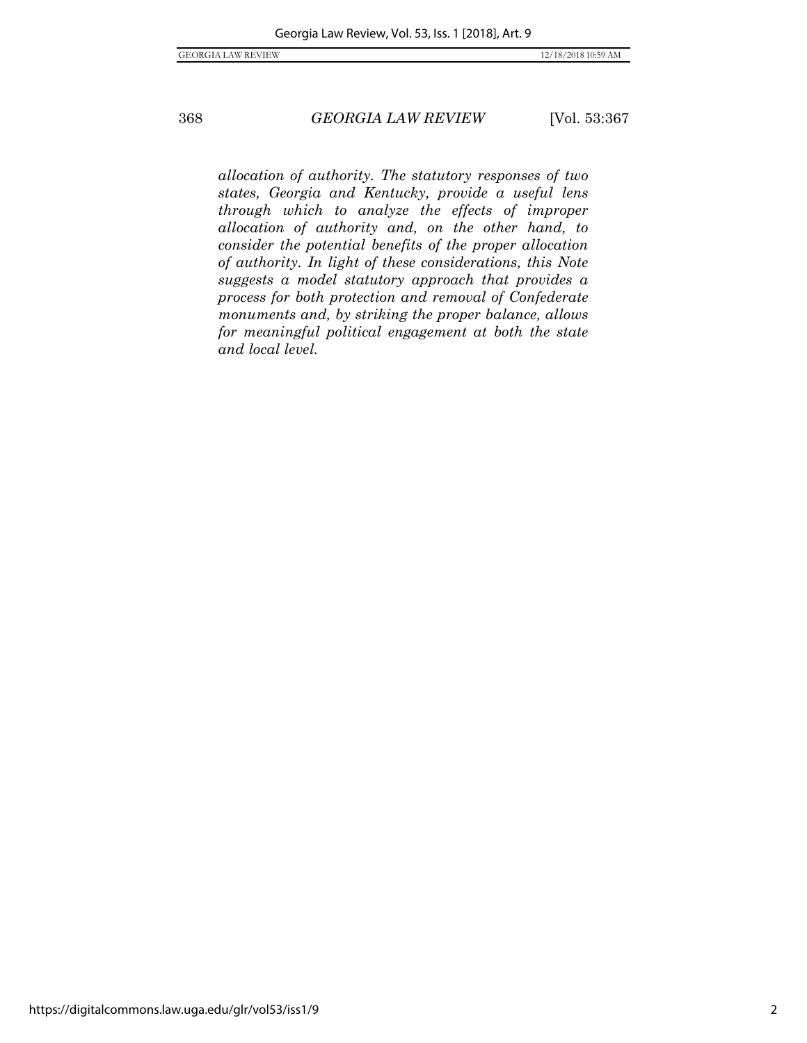*allocation of authority. The statutory responses of two states, Georgia and Kentucky, provide a useful lens through which to analyze the effects of improper allocation of authority and, on the other hand, to consider the potential benefits of the proper allocation of authority. In light of these considerations, this Note suggests a model statutory approach that provides a process for both protection and removal of Confederate monuments and, by striking the proper balance, allows for meaningful political engagement at both the state and local level.*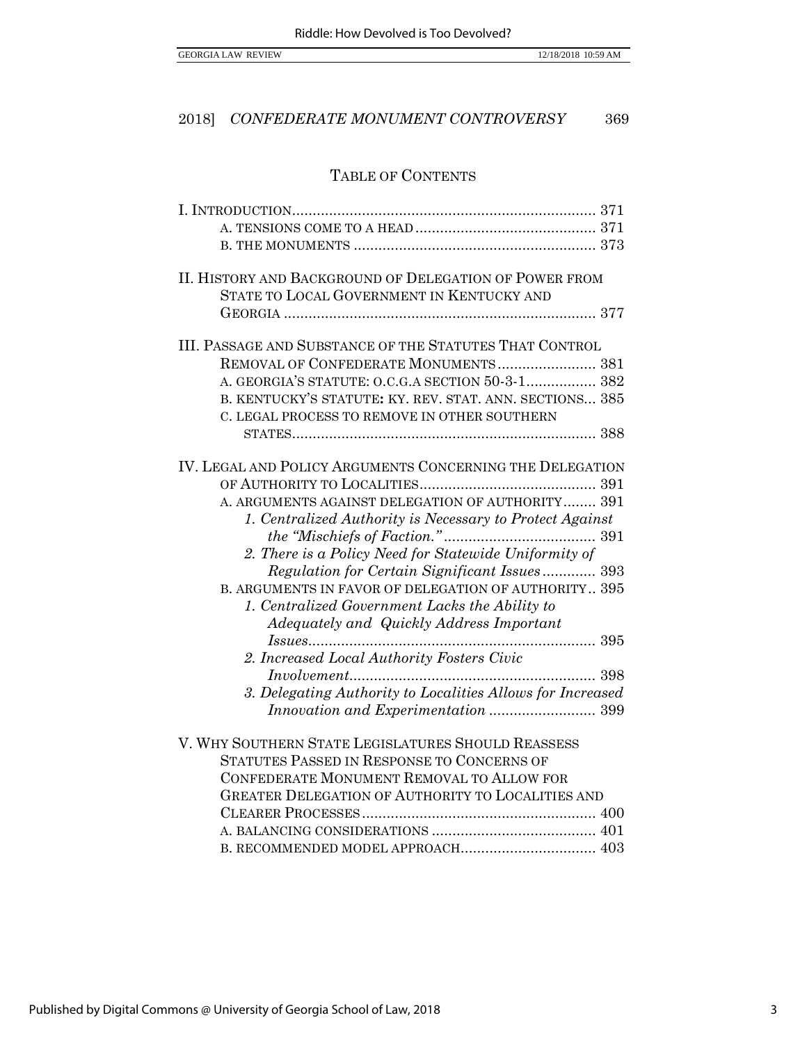## TABLE OF CONTENTS

| II. HISTORY AND BACKGROUND OF DELEGATION OF POWER FROM     |  |
|------------------------------------------------------------|--|
| STATE TO LOCAL GOVERNMENT IN KENTUCKY AND                  |  |
|                                                            |  |
|                                                            |  |
| III. PASSAGE AND SUBSTANCE OF THE STATUTES THAT CONTROL    |  |
| REMOVAL OF CONFEDERATE MONUMENTS 381                       |  |
| A. GEORGIA'S STATUTE: O.C.G.A SECTION 50-3-1 382           |  |
| B. KENTUCKY'S STATUTE: KY. REV. STAT. ANN. SECTIONS 385    |  |
| C. LEGAL PROCESS TO REMOVE IN OTHER SOUTHERN               |  |
|                                                            |  |
|                                                            |  |
| IV. LEGAL AND POLICY ARGUMENTS CONCERNING THE DELEGATION   |  |
|                                                            |  |
| A. ARGUMENTS AGAINST DELEGATION OF AUTHORITY 391           |  |
| 1. Centralized Authority is Necessary to Protect Against   |  |
|                                                            |  |
| 2. There is a Policy Need for Statewide Uniformity of      |  |
| Regulation for Certain Significant Issues 393              |  |
| B. ARGUMENTS IN FAVOR OF DELEGATION OF AUTHORITY 395       |  |
| 1. Centralized Government Lacks the Ability to             |  |
| Adequately and Quickly Address Important                   |  |
|                                                            |  |
| 2. Increased Local Authority Fosters Civic                 |  |
|                                                            |  |
| 3. Delegating Authority to Localities Allows for Increased |  |
| Innovation and Experimentation  399                        |  |
| V. WHY SOUTHERN STATE LEGISLATURES SHOULD REASSESS         |  |
| STATUTES PASSED IN RESPONSE TO CONCERNS OF                 |  |
| CONFEDERATE MONUMENT REMOVAL TO ALLOW FOR                  |  |
| <b>GREATER DELEGATION OF AUTHORITY TO LOCALITIES AND</b>   |  |
|                                                            |  |
|                                                            |  |
| B. RECOMMENDED MODEL APPROACH 403                          |  |
|                                                            |  |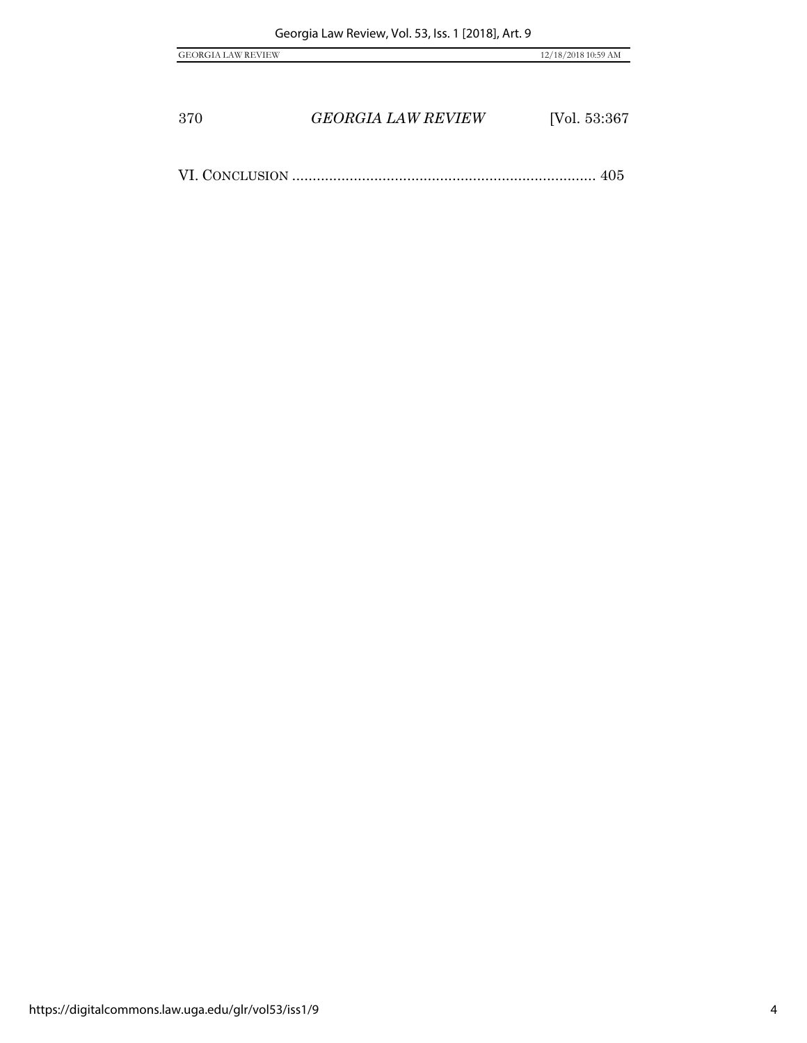| <b>GEORGIA LAW REVIEW</b> | 12/18/2018 10:59 AM |
|---------------------------|---------------------|
|                           |                     |

VI. CONCLUSION .......................................................................... 405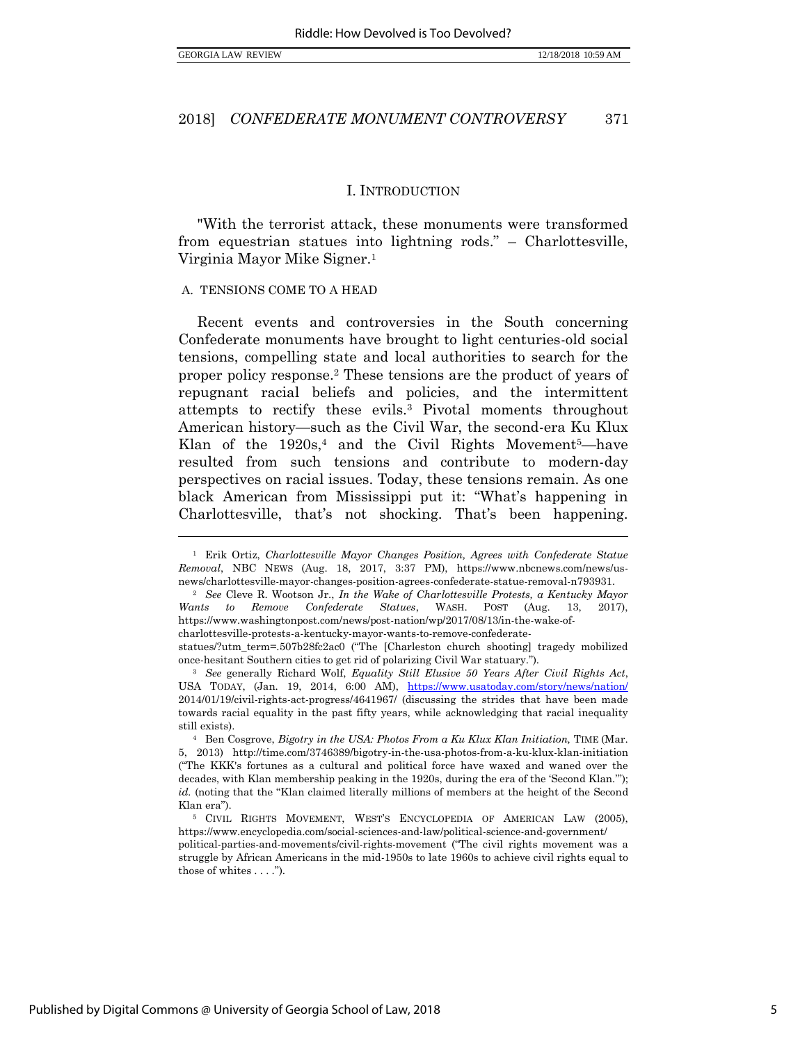$\overline{a}$ 

#### 2018] *CONFEDERATE MONUMENT CONTROVERSY* 371

#### I. INTRODUCTION

"With the terrorist attack, these monuments were transformed from equestrian statues into lightning rods." – Charlottesville, Virginia Mayor Mike Signer.<sup>1</sup>

#### A. TENSIONS COME TO A HEAD

Recent events and controversies in the South concerning Confederate monuments have brought to light centuries-old social tensions, compelling state and local authorities to search for the proper policy response.<sup>2</sup> These tensions are the product of years of repugnant racial beliefs and policies, and the intermittent attempts to rectify these evils.<sup>3</sup> Pivotal moments throughout American history—such as the Civil War, the second-era Ku Klux Klan of the  $1920s<sup>4</sup>$  and the Civil Rights Movement<sup>5</sup>—have resulted from such tensions and contribute to modern-day perspectives on racial issues. Today, these tensions remain. As one black American from Mississippi put it: "What's happening in Charlottesville, that's not shocking. That's been happening.

<sup>1</sup> Erik Ortiz, *Charlottesville Mayor Changes Position, Agrees with Confederate Statue Removal*, NBC NEWS (Aug. 18, 2017, 3:37 PM), https://www.nbcnews.com/news/usnews/charlottesville-mayor-changes-position-agrees-confederate-statue-removal-n793931.

<sup>2</sup> *See* Cleve R. Wootson Jr., *In the Wake of Charlottesville Protests, a Kentucky Mayor Wants to Remove Confederate Statues*, WASH. POST (Aug. 13, 2017), https://www.washingtonpost.com/news/post-nation/wp/2017/08/13/in-the-wake-ofcharlottesville-protests-a-kentucky-mayor-wants-to-remove-confederate-

statues/?utm\_term=.507b28fc2ac0 ("The [Charleston church shooting] tragedy mobilized once-hesitant Southern cities to get rid of polarizing Civil War statuary.").

<sup>3</sup> *See* generally Richard Wolf, *Equality Still Elusive 50 Years After Civil Rights Act*, USA TODAY, (Jan. 19, 2014, 6:00 AM), https://www.usatoday.com/story/news/nation/ 2014/01/19/civil-rights-act-progress/4641967/ (discussing the strides that have been made towards racial equality in the past fifty years, while acknowledging that racial inequality still exists).

<sup>&</sup>lt;sup>4</sup> Ben Cosgrove, *Bigotry in the USA: Photos From a Ku Klux Klan Initiation*, TIME (Mar. 5, 2013) http://time.com/3746389/bigotry-in-the-usa-photos-from-a-ku-klux-klan-initiation ("The KKK's fortunes as a cultural and political force have waxed and waned over the decades, with Klan membership peaking in the 1920s, during the era of the 'Second Klan.'"); *id.* (noting that the "Klan claimed literally millions of members at the height of the Second Klan era").

<sup>5</sup> CIVIL RIGHTS MOVEMENT, WEST'S ENCYCLOPEDIA OF AMERICAN LAW (2005), https://www.encyclopedia.com/social-sciences-and-law/political-science-and-government/

political-parties-and-movements/civil-rights-movement ("The civil rights movement was a struggle by African Americans in the mid-1950s to late 1960s to achieve civil rights equal to those of whites . . . .").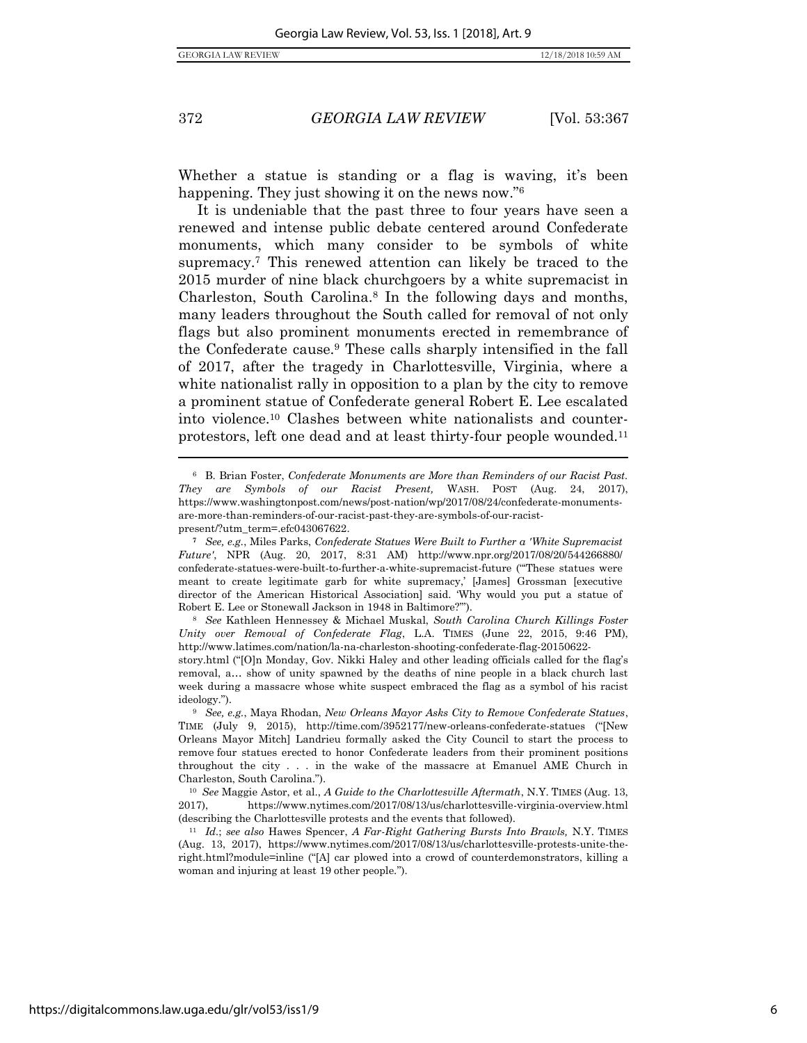$\overline{a}$ 

372 *GEORGIA LAW REVIEW* [Vol. 53:367

Whether a statue is standing or a flag is waving, it's been happening. They just showing it on the news now."<sup>6</sup>

It is undeniable that the past three to four years have seen a renewed and intense public debate centered around Confederate monuments, which many consider to be symbols of white supremacy.<sup>7</sup> This renewed attention can likely be traced to the 2015 murder of nine black churchgoers by a white supremacist in Charleston, South Carolina.<sup>8</sup> In the following days and months, many leaders throughout the South called for removal of not only flags but also prominent monuments erected in remembrance of the Confederate cause.<sup>9</sup> These calls sharply intensified in the fall of 2017, after the tragedy in Charlottesville, Virginia, where a white nationalist rally in opposition to a plan by the city to remove a prominent statue of Confederate general Robert E. Lee escalated into violence.<sup>10</sup> Clashes between white nationalists and counterprotestors, left one dead and at least thirty-four people wounded.<sup>11</sup>

<sup>6</sup> B. Brian Foster, *Confederate Monuments are More than Reminders of our Racist Past. They are Symbols of our Racist Present,* WASH. POST (Aug. 24, 2017), https://www.washingtonpost.com/news/post-nation/wp/2017/08/24/confederate-monumentsare-more-than-reminders-of-our-racist-past-they-are-symbols-of-our-racistpresent/?utm\_term=.efc043067622.

**<sup>7</sup>** *See, e.g.*, Miles Parks, *Confederate Statues Were Built to Further a 'White Supremacist Future'*, NPR (Aug. 20, 2017, 8:31 AM) http://www.npr.org/2017/08/20/544266880/ confederate-statues-were-built-to-further-a-white-supremacist-future ("'These statues were meant to create legitimate garb for white supremacy,' [James] Grossman [executive director of the American Historical Association] said. 'Why would you put a statue of Robert E. Lee or Stonewall Jackson in 1948 in Baltimore?'").

<sup>8</sup> *See* Kathleen Hennessey & Michael Muskal, *South Carolina Church Killings Foster Unity over Removal of Confederate Flag*, L.A. TIMES (June 22, 2015, 9:46 PM), http://www.latimes.com/nation/la-na-charleston-shooting-confederate-flag-20150622-

story.html ("[O]n Monday, Gov. Nikki Haley and other leading officials called for the flag's removal, a… show of unity spawned by the deaths of nine people in a black church last week during a massacre whose white suspect embraced the flag as a symbol of his racist ideology.").

<sup>9</sup> *See, e.g.*, Maya Rhodan, *New Orleans Mayor Asks City to Remove Confederate Statues*, TIME (July 9, 2015), http://time.com/3952177/new-orleans-confederate-statues ("[New Orleans Mayor Mitch] Landrieu formally asked the City Council to start the process to remove four statues erected to honor Confederate leaders from their prominent positions throughout the city . . . in the wake of the massacre at Emanuel AME Church in Charleston, South Carolina.").

<sup>10</sup> *See* Maggie Astor, et al., *A Guide to the Charlottesville Aftermath*, N.Y. TIMES (Aug. 13, 2017), https://www.nytimes.com/2017/08/13/us/charlottesville-virginia-overview.html (describing the Charlottesville protests and the events that followed).

<sup>11</sup> *Id.*; *see also* Hawes Spencer, *A Far-Right Gathering Bursts Into Brawls,* N.Y. TIMES (Aug. 13, 2017), https://www.nytimes.com/2017/08/13/us/charlottesville-protests-unite-theright.html?module=inline ("[A] car plowed into a crowd of counterdemonstrators, killing a woman and injuring at least 19 other people.").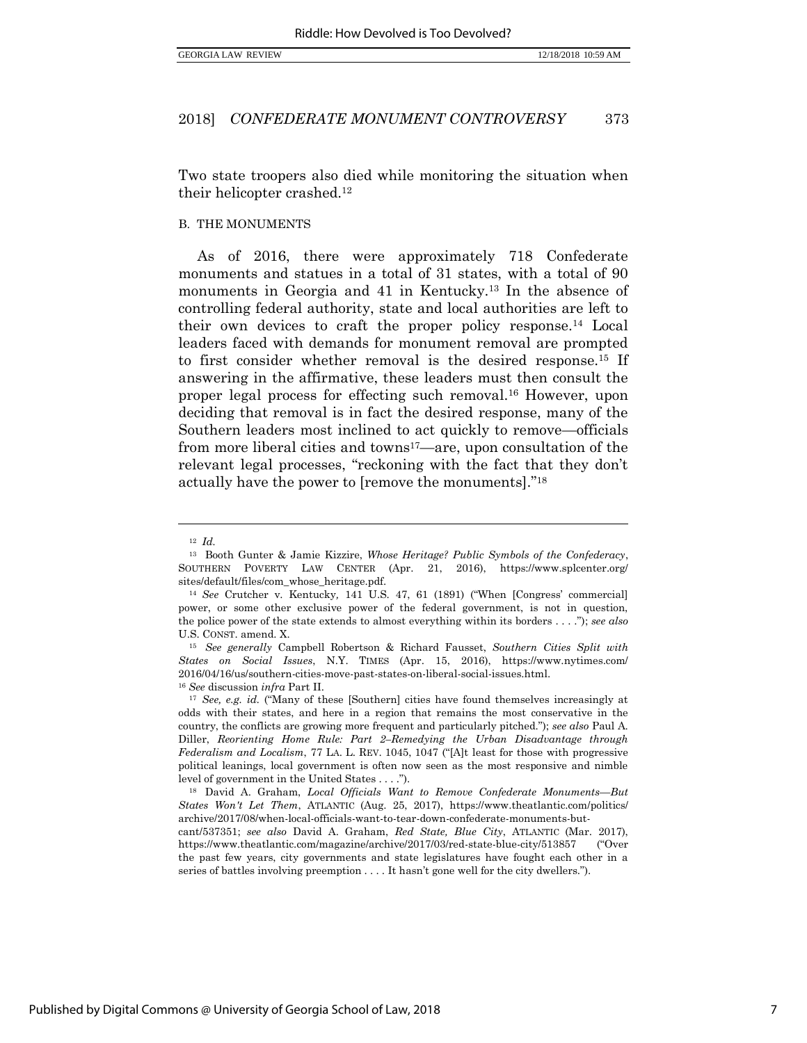Two state troopers also died while monitoring the situation when their helicopter crashed.<sup>12</sup>

#### B. THE MONUMENTS

As of 2016, there were approximately 718 Confederate monuments and statues in a total of 31 states, with a total of 90 monuments in Georgia and 41 in Kentucky.<sup>13</sup> In the absence of controlling federal authority, state and local authorities are left to their own devices to craft the proper policy response.<sup>14</sup> Local leaders faced with demands for monument removal are prompted to first consider whether removal is the desired response.<sup>15</sup> If answering in the affirmative, these leaders must then consult the proper legal process for effecting such removal.<sup>16</sup> However, upon deciding that removal is in fact the desired response, many of the Southern leaders most inclined to act quickly to remove—officials from more liberal cities and towns<sup>17</sup>—are, upon consultation of the relevant legal processes, "reckoning with the fact that they don't actually have the power to [remove the monuments]."<sup>18</sup>

<span id="page-8-1"></span><span id="page-8-0"></span><sup>12</sup> *Id.*

<sup>13</sup> Booth Gunter & Jamie Kizzire, *Whose Heritage? Public Symbols of the Confederacy*, SOUTHERN POVERTY LAW CENTER (Apr. 21, 2016), https://www.splcenter.org/ sites/default/files/com\_whose\_heritage.pdf.

<sup>14</sup> *See* Crutcher v. Kentucky*,* 141 U.S. 47, 61 (1891) ("When [Congress' commercial] power, or some other exclusive power of the federal government, is not in question, the police power of the state extends to almost everything within its borders . . . ."); *see also* U.S. CONST. amend. X.

<sup>15</sup> *See generally* Campbell Robertson & Richard Fausset, *Southern Cities Split with States on Social Issues*, N.Y. TIMES (Apr. 15, 2016), https://www.nytimes.com/ 2016/04/16/us/southern-cities-move-past-states-on-liberal-social-issues.html. <sup>16</sup> *See* discussion *infra* Part II.

<sup>17</sup> *See, e.g. id.* ("Many of these [Southern] cities have found themselves increasingly at odds with their states, and here in a region that remains the most conservative in the country, the conflicts are growing more frequent and particularly pitched."); *see also* Paul A. Diller, *Reorienting Home Rule: Part 2–Remedying the Urban Disadvantage through Federalism and Localism*, 77 LA. L. REV. 1045, 1047 ("[A]t least for those with progressive political leanings, local government is often now seen as the most responsive and nimble level of government in the United States . . . .").

<sup>18</sup> David A. Graham, *Local Officials Want to Remove Confederate Monuments—But States Won't Let Them*, ATLANTIC (Aug. 25, 2017), https://www.theatlantic.com/politics/ archive/2017/08/when-local-officials-want-to-tear-down-confederate-monuments-butcant/537351; *see also* David A. Graham, *Red State, Blue City*, ATLANTIC (Mar. 2017), https://www.theatlantic.com/magazine/archive/2017/03/red-state-blue-city/513857 ("Over the past few years, city governments and state legislatures have fought each other in a

series of battles involving preemption . . . . It hasn't gone well for the city dwellers.").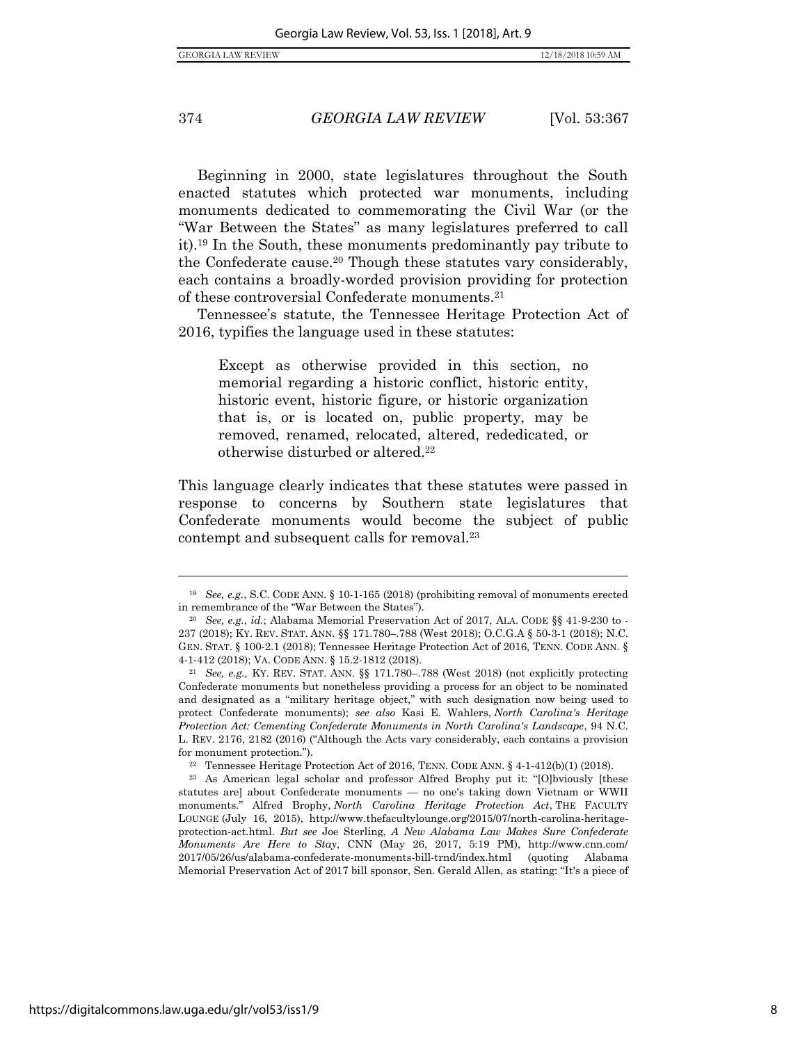Beginning in 2000, state legislatures throughout the South enacted statutes which protected war monuments, including monuments dedicated to commemorating the Civil War (or the "War Between the States" as many legislatures preferred to call it).<sup>19</sup> In the South, these monuments predominantly pay tribute to the Confederate cause.<sup>20</sup> Though these statutes vary considerably, each contains a broadly-worded provision providing for protection of these controversial Confederate monuments.<sup>21</sup>

Tennessee's statute, the Tennessee Heritage Protection Act of 2016, typifies the language used in these statutes:

Except as otherwise provided in this section, no memorial regarding a historic conflict, historic entity, historic event, historic figure, or historic organization that is, or is located on, public property, may be removed, renamed, relocated, altered, rededicated, or otherwise disturbed or altered.<sup>22</sup>

This language clearly indicates that these statutes were passed in response to concerns by Southern state legislatures that Confederate monuments would become the subject of public contempt and subsequent calls for removal.<sup>23</sup>

<sup>19</sup> *See, e.g.*, S.C. CODE ANN. § 10-1-165 (2018) (prohibiting removal of monuments erected in remembrance of the "War Between the States").

<sup>20</sup> *See, e.g.*, *id.*; Alabama Memorial Preservation Act of 2017, ALA. CODE §§ 41-9-230 to - 237 (2018); KY. REV. STAT. ANN. §§ 171.780–.788 (West 2018); O.C.G.A § 50-3-1 (2018); N.C. GEN. STAT. § 100-2.1 (2018); Tennessee Heritage Protection Act of 2016, TENN. CODE ANN. § 4-1-412 (2018); VA. CODE ANN. § 15.2-1812 (2018).

<sup>21</sup> *See, e.g.,* KY. REV. STAT. ANN. §§ 171.780–.788 (West 2018) (not explicitly protecting Confederate monuments but nonetheless providing a process for an object to be nominated and designated as a "military heritage object," with such designation now being used to protect Confederate monuments); *see also* Kasi E. Wahlers, *North Carolina's Heritage Protection Act: Cementing Confederate Monuments in North Carolina's Landscape*, 94 N.C. L. REV. 2176, 2182 (2016) ("Although the Acts vary considerably, each contains a provision for monument protection.").

<sup>&</sup>lt;sup>22</sup> Tennessee Heritage Protection Act of 2016, TENN. CODE ANN.  $\S$  4-1-412(b)(1) (2018).

<sup>23</sup> As American legal scholar and professor Alfred Brophy put it: "[O]bviously [these statutes are] about Confederate monuments — no one's taking down Vietnam or WWII monuments." Alfred Brophy, *North Carolina Heritage Protection Act*, THE FACULTY LOUNGE (July 16, 2015), http://www.thefacultylounge.org/2015/07/north-carolina-heritageprotection-act.html. *But see* Joe Sterling, *A New Alabama Law Makes Sure Confederate Monuments Are Here to Stay*, CNN (May 26, 2017, 5:19 PM), http://www.cnn.com/ 2017/05/26/us/alabama-confederate-monuments-bill-trnd/index.html (quoting Alabama Memorial Preservation Act of 2017 bill sponsor, Sen. Gerald Allen, as stating: "It's a piece of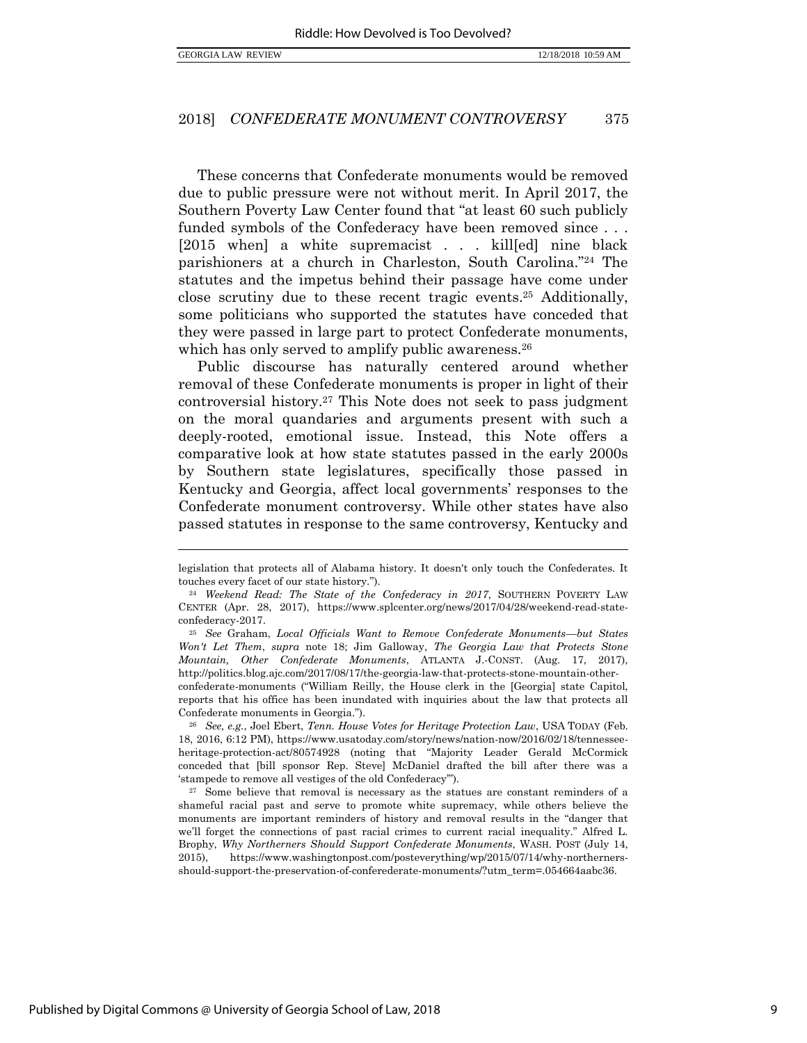$\overline{a}$ 

#### 2018] *CONFEDERATE MONUMENT CONTROVERSY* 375

These concerns that Confederate monuments would be removed due to public pressure were not without merit. In April 2017, the Southern Poverty Law Center found that "at least 60 such publicly funded symbols of the Confederacy have been removed since . . . [2015 when] a white supremacist . . . kill[ed] nine black parishioners at a church in Charleston, South Carolina."<sup>24</sup> The statutes and the impetus behind their passage have come under close scrutiny due to these recent tragic events.<sup>25</sup> Additionally, some politicians who supported the statutes have conceded that they were passed in large part to protect Confederate monuments, which has only served to amplify public awareness.<sup>26</sup>

<span id="page-10-0"></span>Public discourse has naturally centered around whether removal of these Confederate monuments is proper in light of their controversial history.<sup>27</sup> This Note does not seek to pass judgment on the moral quandaries and arguments present with such a deeply-rooted, emotional issue. Instead, this Note offers a comparative look at how state statutes passed in the early 2000s by Southern state legislatures, specifically those passed in Kentucky and Georgia, affect local governments' responses to the Confederate monument controversy. While other states have also passed statutes in response to the same controversy, Kentucky and

legislation that protects all of Alabama history. It doesn't only touch the Confederates. It touches every facet of our state history.").

<sup>24</sup> *Weekend Read: The State of the Confederacy in 2017*, SOUTHERN POVERTY LAW CENTER (Apr. 28, 2017), https://www.splcenter.org/news/2017/04/28/weekend-read-stateconfederacy-2017.

<sup>25</sup> *See* Graham, *Local Officials Want to Remove Confederate Monuments—but States Won't Let Them*, *supra* note [18;](#page-8-0) Jim Galloway, *The Georgia Law that Protects Stone Mountain, Other Confederate Monuments*, ATLANTA J.-CONST. (Aug. 17, 2017), http://politics.blog.ajc.com/2017/08/17/the-georgia-law-that-protects-stone-mountain-otherconfederate-monuments ("William Reilly, the House clerk in the [Georgia] state Capitol, reports that his office has been inundated with inquiries about the law that protects all Confederate monuments in Georgia.").

<sup>26</sup> *See, e.g.*, Joel Ebert, *Tenn. House Votes for Heritage Protection Law*, USA TODAY (Feb. 18, 2016, 6:12 PM), https://www.usatoday.com/story/news/nation-now/2016/02/18/tennesseeheritage-protection-act/80574928 (noting that "Majority Leader Gerald McCormick conceded that [bill sponsor Rep. Steve] McDaniel drafted the bill after there was a 'stampede to remove all vestiges of the old Confederacy'").

<sup>&</sup>lt;sup>27</sup> Some believe that removal is necessary as the statues are constant reminders of a shameful racial past and serve to promote white supremacy, while others believe the monuments are important reminders of history and removal results in the "danger that we'll forget the connections of past racial crimes to current racial inequality." Alfred L. Brophy, *Why Northerners Should Support Confederate Monuments*, WASH. POST (July 14, 2015), https://www.washingtonpost.com/posteverything/wp/2015/07/14/why-northernersshould-support-the-preservation-of-conferederate-monuments/?utm\_term=.054664aabc36.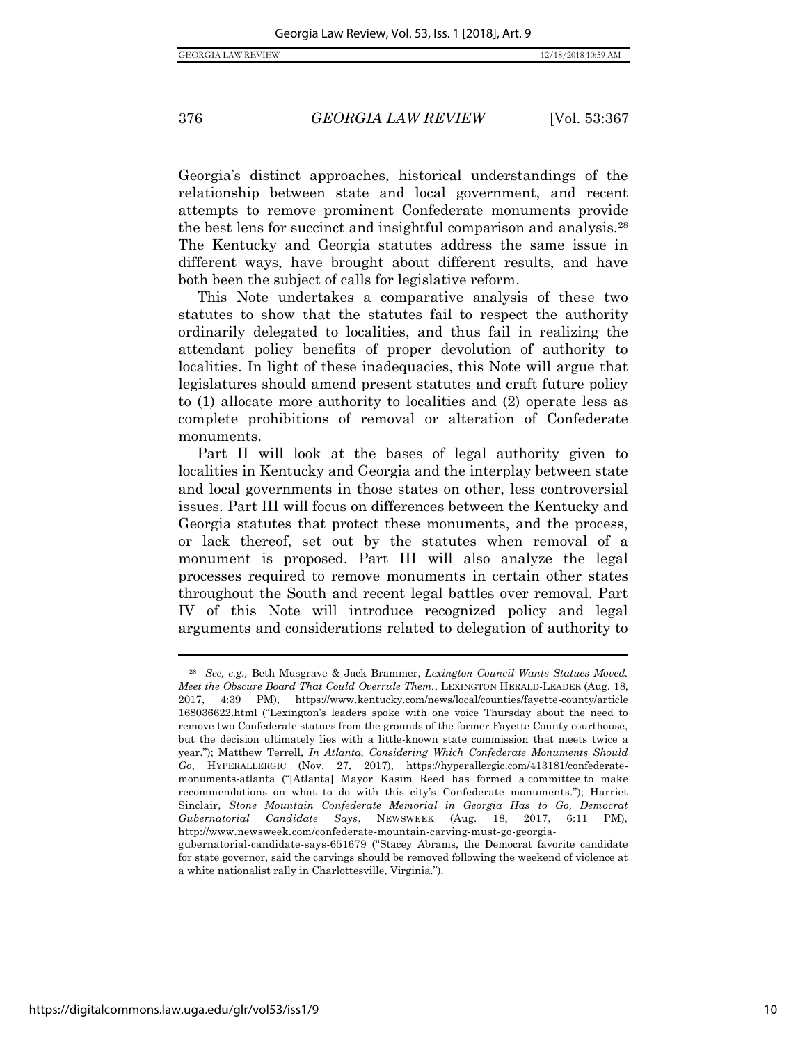<span id="page-11-0"></span>

Georgia's distinct approaches, historical understandings of the relationship between state and local government, and recent attempts to remove prominent Confederate monuments provide the best lens for succinct and insightful comparison and analysis.<sup>28</sup> The Kentucky and Georgia statutes address the same issue in different ways, have brought about different results, and have both been the subject of calls for legislative reform.

This Note undertakes a comparative analysis of these two statutes to show that the statutes fail to respect the authority ordinarily delegated to localities, and thus fail in realizing the attendant policy benefits of proper devolution of authority to localities. In light of these inadequacies, this Note will argue that legislatures should amend present statutes and craft future policy to (1) allocate more authority to localities and (2) operate less as complete prohibitions of removal or alteration of Confederate monuments.

Part II will look at the bases of legal authority given to localities in Kentucky and Georgia and the interplay between state and local governments in those states on other, less controversial issues. Part III will focus on differences between the Kentucky and Georgia statutes that protect these monuments, and the process, or lack thereof, set out by the statutes when removal of a monument is proposed. Part III will also analyze the legal processes required to remove monuments in certain other states throughout the South and recent legal battles over removal. Part IV of this Note will introduce recognized policy and legal arguments and considerations related to delegation of authority to

<sup>28</sup> *See, e.g.,* Beth Musgrave & Jack Brammer, *Lexington Council Wants Statues Moved. Meet the Obscure Board That Could Overrule Them.*, LEXINGTON HERALD-LEADER (Aug. 18, 2017, 4:39 PM), https://www.kentucky.com/news/local/counties/fayette-county/article 168036622.html ("Lexington's leaders spoke with one voice Thursday about the need to remove two Confederate statues from the grounds of the former Fayette County courthouse, but the decision ultimately lies with a little-known state commission that meets twice a year."); Matthew Terrell, *In Atlanta, Considering Which Confederate Monuments Should Go*, HYPERALLERGIC (Nov. 27, 2017), https://hyperallergic.com/413181/confederatemonuments-atlanta ("[Atlanta] Mayor Kasim Reed has formed a committee to make recommendations on what to do with this city's Confederate monuments."); Harriet Sinclair, *Stone Mountain Confederate Memorial in Georgia Has to Go, Democrat Gubernatorial Candidate Says*, NEWSWEEK (Aug. 18, 2017, 6:11 PM), http://www.newsweek.com/confederate-mountain-carving-must-go-georgia-

gubernatorial-candidate-says-651679 ("Stacey Abrams, the Democrat favorite candidate for state governor, said the carvings should be removed following the weekend of violence at a white nationalist rally in Charlottesville, Virginia.").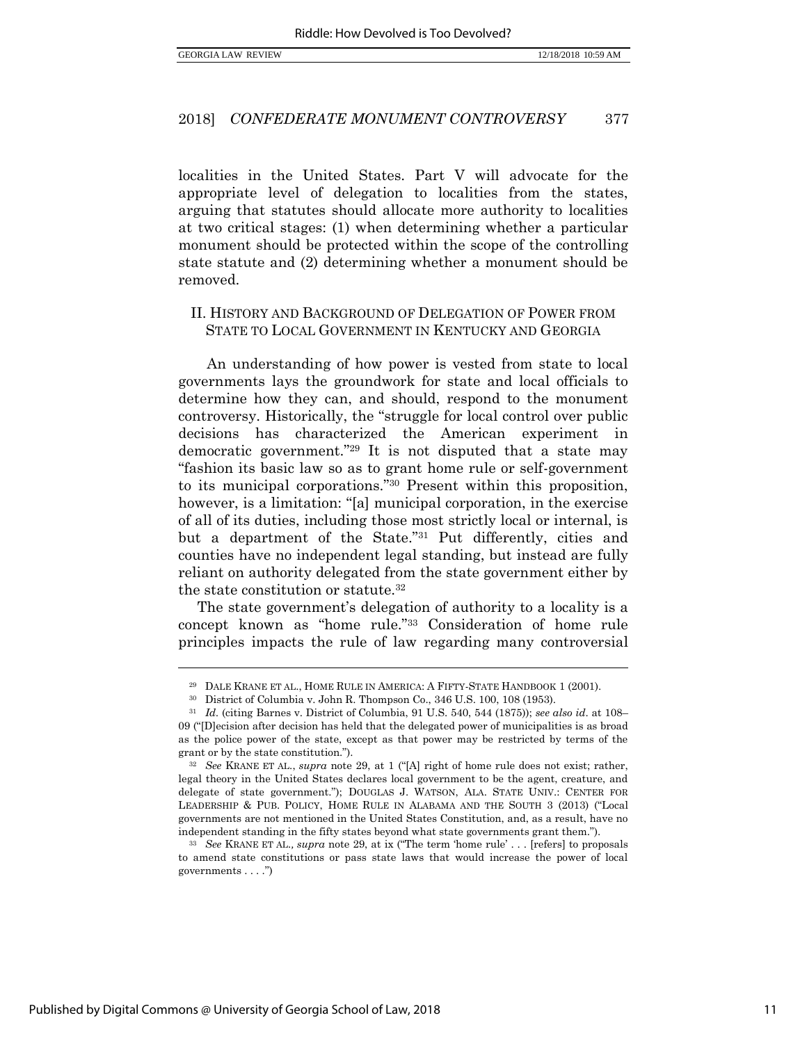localities in the United States. Part V will advocate for the appropriate level of delegation to localities from the states, arguing that statutes should allocate more authority to localities at two critical stages: (1) when determining whether a particular monument should be protected within the scope of the controlling state statute and (2) determining whether a monument should be removed.

## II. HISTORY AND BACKGROUND OF DELEGATION OF POWER FROM STATE TO LOCAL GOVERNMENT IN KENTUCKY AND GEORGIA

<span id="page-12-0"></span>An understanding of how power is vested from state to local governments lays the groundwork for state and local officials to determine how they can, and should, respond to the monument controversy. Historically, the "struggle for local control over public decisions has characterized the American experiment in democratic government."<sup>29</sup> It is not disputed that a state may "fashion its basic law so as to grant home rule or self-government to its municipal corporations."<sup>30</sup> Present within this proposition, however, is a limitation: "[a] municipal corporation, in the exercise of all of its duties, including those most strictly local or internal, is but a department of the State."<sup>31</sup> Put differently, cities and counties have no independent legal standing, but instead are fully reliant on authority delegated from the state government either by the state constitution or statute.<sup>32</sup>

<span id="page-12-1"></span>The state government's delegation of authority to a locality is a concept known as "home rule."<sup>33</sup> Consideration of home rule principles impacts the rule of law regarding many controversial

<sup>29</sup> DALE KRANE ET AL., HOME RULE IN AMERICA: A FIFTY-STATE HANDBOOK 1 (2001).

<sup>30</sup> District of Columbia v. John R. Thompson Co., 346 U.S. 100, 108 (1953).

<sup>31</sup> *Id.* (citing Barnes v. District of Columbia, 91 U.S. 540, 544 (1875)); *see also id*. at 108– 09 ("[D]ecision after decision has held that the delegated power of municipalities is as broad as the police power of the state, except as that power may be restricted by terms of the grant or by the state constitution.").

<sup>32</sup> *See* KRANE ET AL., *supra* note [29](#page-12-0), at 1 ("[A] right of home rule does not exist; rather, legal theory in the United States declares local government to be the agent, creature, and delegate of state government."); DOUGLAS J. WATSON, ALA. STATE UNIV.: CENTER FOR LEADERSHIP & PUB. POLICY, HOME RULE IN ALABAMA AND THE SOUTH 3 (2013) ("Local governments are not mentioned in the United States Constitution, and, as a result, have no independent standing in the fifty states beyond what state governments grant them.").

<sup>33</sup> *See* KRANE ET AL.*, supra* note [29](#page-12-0), at ix ("The term 'home rule' . . . [refers] to proposals to amend state constitutions or pass state laws that would increase the power of local governments . . . .")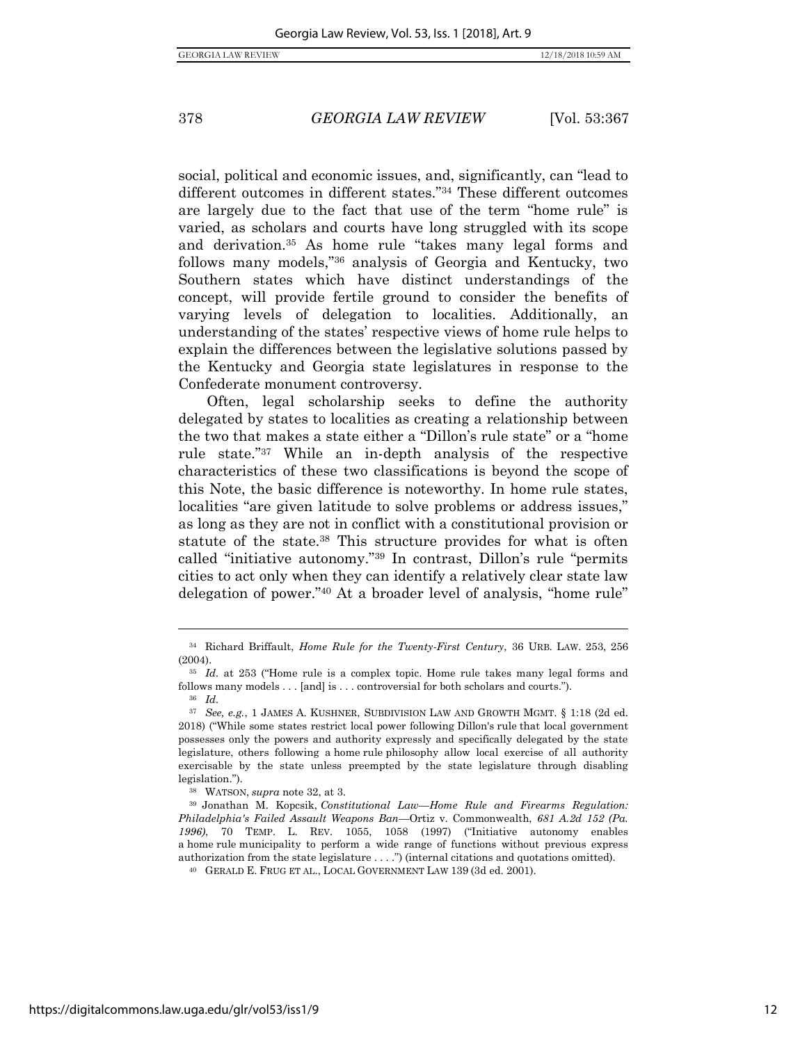<span id="page-13-0"></span>

social, political and economic issues, and, significantly, can "lead to different outcomes in different states."<sup>34</sup> These different outcomes are largely due to the fact that use of the term "home rule" is varied, as scholars and courts have long struggled with its scope and derivation.<sup>35</sup> As home rule "takes many legal forms and follows many models,"<sup>36</sup> analysis of Georgia and Kentucky, two Southern states which have distinct understandings of the concept, will provide fertile ground to consider the benefits of varying levels of delegation to localities. Additionally, an understanding of the states' respective views of home rule helps to explain the differences between the legislative solutions passed by the Kentucky and Georgia state legislatures in response to the Confederate monument controversy.

Often, legal scholarship seeks to define the authority delegated by states to localities as creating a relationship between the two that makes a state either a "Dillon's rule state" or a "home rule state."<sup>37</sup> While an in-depth analysis of the respective characteristics of these two classifications is beyond the scope of this Note, the basic difference is noteworthy. In home rule states, localities "are given latitude to solve problems or address issues," as long as they are not in conflict with a constitutional provision or statute of the state.<sup>38</sup> This structure provides for what is often called "initiative autonomy."<sup>39</sup> In contrast, Dillon's rule "permits cities to act only when they can identify a relatively clear state law delegation of power."<sup>40</sup> At a broader level of analysis, "home rule"

<sup>34</sup> Richard Briffault, *Home Rule for the Twenty-First Century*, 36 URB. LAW. 253, 256 (2004).

<sup>35</sup> *Id.* at 253 ("Home rule is a complex topic. Home rule takes many legal forms and follows many models . . . [and] is . . . controversial for both scholars and courts."). <sup>36</sup> *Id.* 

<sup>37</sup> *See, e.g.*, 1 JAMES A. KUSHNER, SUBDIVISION LAW AND GROWTH MGMT. § 1:18 (2d ed. 2018) ("While some states restrict local power following Dillon's rule that local government possesses only the powers and authority expressly and specifically delegated by the state legislature, others following a home rule philosophy allow local exercise of all authority exercisable by the state unless preempted by the state legislature through disabling legislation.").

<sup>38</sup> WATSON, *supra* not[e 32,](#page-12-1) at 3.

<sup>39</sup> Jonathan M. Kopcsik, *Constitutional Law—Home Rule and Firearms Regulation: Philadelphia's Failed Assault Weapons Ban—*Ortiz v. Commonwealth, *681 A.2d 152 (Pa. 1996)*, 70 TEMP. L. REV. 1055, 1058 (1997) ("Initiative autonomy enables a home rule municipality to perform a wide range of functions without previous express authorization from the state legislature . . . .") (internal citations and quotations omitted).

<sup>40</sup> GERALD E. FRUG ET AL., LOCAL GOVERNMENT LAW 139 (3d ed. 2001).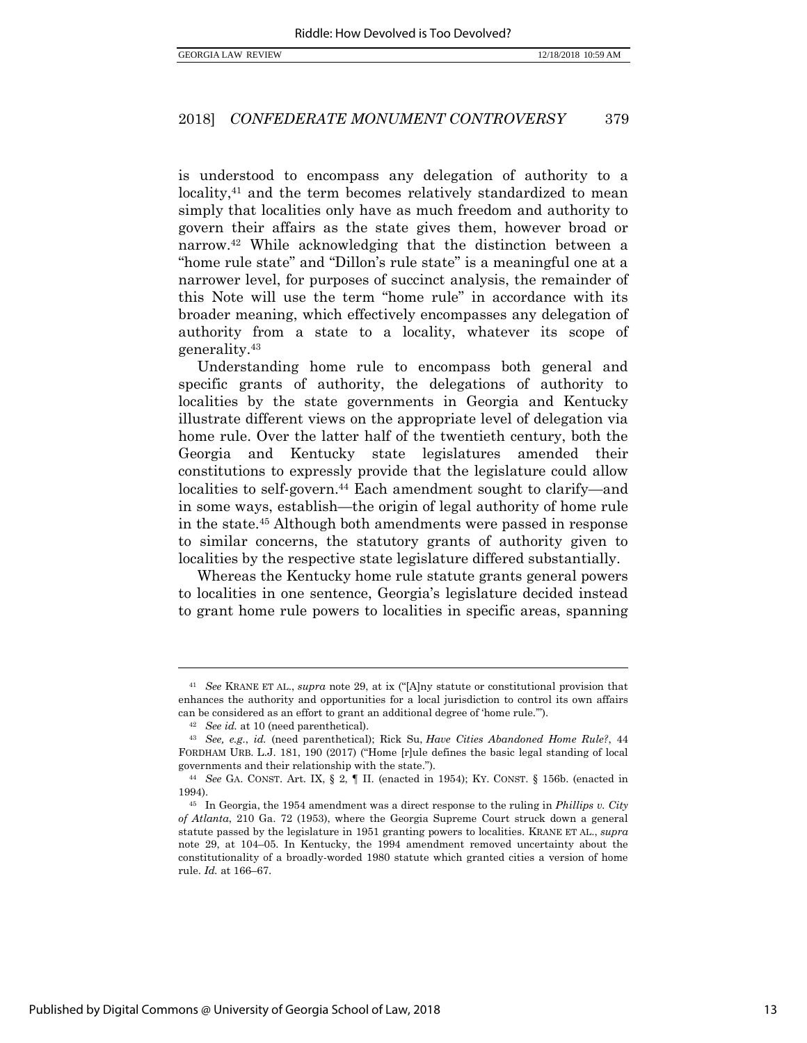is understood to encompass any delegation of authority to a locality,<sup>41</sup> and the term becomes relatively standardized to mean simply that localities only have as much freedom and authority to govern their affairs as the state gives them, however broad or narrow.<sup>42</sup> While acknowledging that the distinction between a "home rule state" and "Dillon's rule state" is a meaningful one at a narrower level, for purposes of succinct analysis, the remainder of this Note will use the term "home rule" in accordance with its broader meaning, which effectively encompasses any delegation of authority from a state to a locality, whatever its scope of generality.<sup>43</sup>

Understanding home rule to encompass both general and specific grants of authority, the delegations of authority to localities by the state governments in Georgia and Kentucky illustrate different views on the appropriate level of delegation via home rule. Over the latter half of the twentieth century, both the Georgia and Kentucky state legislatures amended their constitutions to expressly provide that the legislature could allow localities to self-govern.<sup>44</sup> Each amendment sought to clarify—and in some ways, establish—the origin of legal authority of home rule in the state.<sup>45</sup> Although both amendments were passed in response to similar concerns, the statutory grants of authority given to localities by the respective state legislature differed substantially.

Whereas the Kentucky home rule statute grants general powers to localities in one sentence, Georgia's legislature decided instead to grant home rule powers to localities in specific areas, spanning

<sup>41</sup> *See* KRANE ET AL., *supra* note [29](#page-12-0), at ix ("[A]ny statute or constitutional provision that enhances the authority and opportunities for a local jurisdiction to control its own affairs can be considered as an effort to grant an additional degree of 'home rule.'").

<sup>42</sup> *See id.* at 10 (need parenthetical).

<sup>43</sup> *See, e.g.*, *id.* (need parenthetical); Rick Su, *Have Cities Abandoned Home Rule?*, 44 FORDHAM URB. L.J. 181, 190 (2017) ("Home [r]ule defines the basic legal standing of local governments and their relationship with the state.").

<sup>44</sup> *See* GA. CONST. Art. IX, § 2, ¶ II. (enacted in 1954); KY. CONST. § 156b. (enacted in 1994).

<sup>45</sup> In Georgia, the 1954 amendment was a direct response to the ruling in *Phillips v. City of Atlanta*, 210 Ga. 72 (1953), where the Georgia Supreme Court struck down a general statute passed by the legislature in 1951 granting powers to localities. KRANE ET AL., *supra*  note [29,](#page-12-0) at 104–05. In Kentucky, the 1994 amendment removed uncertainty about the constitutionality of a broadly-worded 1980 statute which granted cities a version of home rule. *Id.* at 166–67.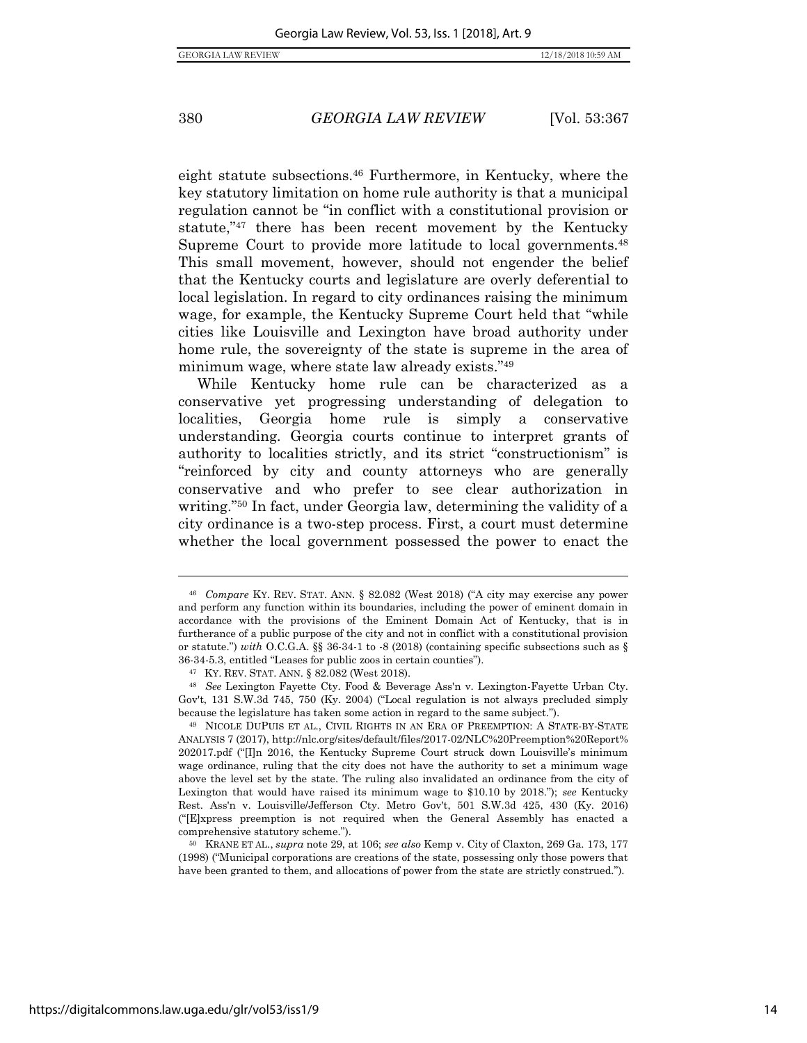eight statute subsections.<sup>46</sup> Furthermore, in Kentucky, where the key statutory limitation on home rule authority is that a municipal regulation cannot be "in conflict with a constitutional provision or statute,"<sup>47</sup> there has been recent movement by the Kentucky Supreme Court to provide more latitude to local governments.<sup>48</sup> This small movement, however, should not engender the belief that the Kentucky courts and legislature are overly deferential to local legislation. In regard to city ordinances raising the minimum wage, for example, the Kentucky Supreme Court held that "while cities like Louisville and Lexington have broad authority under home rule, the sovereignty of the state is supreme in the area of minimum wage, where state law already exists."<sup>49</sup>

While Kentucky home rule can be characterized as a conservative yet progressing understanding of delegation to localities, Georgia home rule is simply a conservative understanding. Georgia courts continue to interpret grants of authority to localities strictly, and its strict "constructionism" is "reinforced by city and county attorneys who are generally conservative and who prefer to see clear authorization in writing."<sup>50</sup> In fact, under Georgia law, determining the validity of a city ordinance is a two-step process. First, a court must determine whether the local government possessed the power to enact the

<sup>50</sup> KRANE ET AL., *supra* not[e 29,](#page-12-0) at 106; *see also* Kemp v. City of Claxton, 269 Ga. 173, 177 (1998) ("Municipal corporations are creations of the state, possessing only those powers that have been granted to them, and allocations of power from the state are strictly construed.").

<sup>46</sup> *Compare* KY. REV. STAT. ANN. § 82.082 (West 2018) ("A city may exercise any power and perform any function within its boundaries, including the power of eminent domain in accordance with the provisions of the Eminent Domain Act of Kentucky, that is in furtherance of a public purpose of the city and not in conflict with a constitutional provision or statute.") *with* O.C.G.A. §§ 36-34-1 to -8 (2018) (containing specific subsections such as § 36-34-5.3, entitled "Leases for public zoos in certain counties").

<sup>47</sup> KY. REV. STAT. ANN. § 82.082 (West 2018).

<sup>48</sup> *See* Lexington Fayette Cty. Food & Beverage Ass'n v. Lexington-Fayette Urban Cty. Gov't, 131 S.W.3d 745, 750 (Ky. 2004) ("Local regulation is not always precluded simply because the legislature has taken some action in regard to the same subject.").

<sup>49</sup> NICOLE DUPUIS ET AL., CIVIL RIGHTS IN AN ERA OF PREEMPTION: A STATE-BY-STATE ANALYSIS 7 (2017), http://nlc.org/sites/default/files/2017-02/NLC%20Preemption%20Report% 202017.pdf ("[I]n 2016, the Kentucky Supreme Court struck down Louisville's minimum wage ordinance, ruling that the city does not have the authority to set a minimum wage above the level set by the state. The ruling also invalidated an ordinance from the city of Lexington that would have raised its minimum wage to \$10.10 by 2018."); *see* Kentucky Rest. Ass'n v. Louisville/Jefferson Cty. Metro Gov't, 501 S.W.3d 425, 430 (Ky. 2016) ("[E]xpress preemption is not required when the General Assembly has enacted a comprehensive statutory scheme.").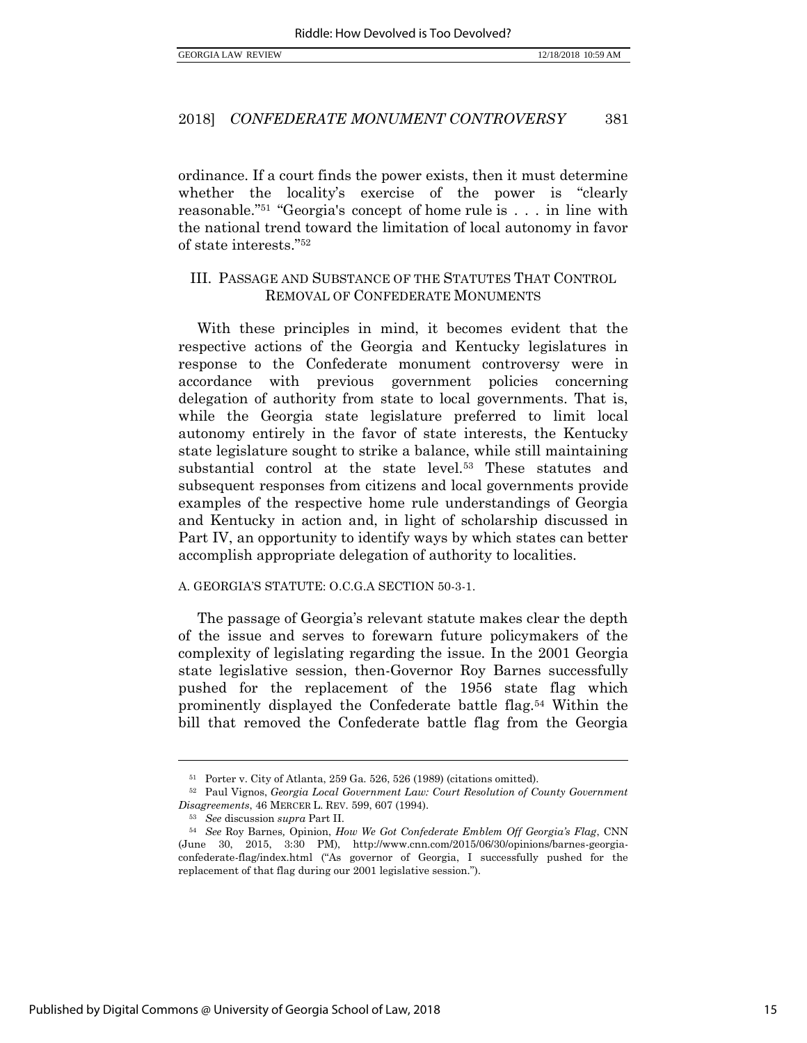ordinance. If a court finds the power exists, then it must determine whether the locality's exercise of the power is "clearly reasonable."<sup>51</sup> "Georgia's concept of home rule is . . . in line with the national trend toward the limitation of local autonomy in favor of state interests."<sup>52</sup>

## III. PASSAGE AND SUBSTANCE OF THE STATUTES THAT CONTROL REMOVAL OF CONFEDERATE MONUMENTS

With these principles in mind, it becomes evident that the respective actions of the Georgia and Kentucky legislatures in response to the Confederate monument controversy were in accordance with previous government policies concerning delegation of authority from state to local governments. That is, while the Georgia state legislature preferred to limit local autonomy entirely in the favor of state interests, the Kentucky state legislature sought to strike a balance, while still maintaining substantial control at the state level.<sup>53</sup> These statutes and subsequent responses from citizens and local governments provide examples of the respective home rule understandings of Georgia and Kentucky in action and, in light of scholarship discussed in Part IV, an opportunity to identify ways by which states can better accomplish appropriate delegation of authority to localities.

#### A. GEORGIA'S STATUTE: O.C.G.A SECTION 50-3-1.

The passage of Georgia's relevant statute makes clear the depth of the issue and serves to forewarn future policymakers of the complexity of legislating regarding the issue. In the 2001 Georgia state legislative session, then-Governor Roy Barnes successfully pushed for the replacement of the 1956 state flag which prominently displayed the Confederate battle flag.<sup>54</sup> Within the bill that removed the Confederate battle flag from the Georgia

<sup>51</sup> Porter v. City of Atlanta, 259 Ga. 526, 526 (1989) (citations omitted).

<sup>52</sup> Paul Vignos, *Georgia Local Government Law: Court Resolution of County Government Disagreements*, 46 MERCER L. REV. 599, 607 (1994).

<sup>53</sup> *See* discussion *supra* Part II.

<sup>54</sup> *See* Roy Barnes*,* Opinion, *How We Got Confederate Emblem Off Georgia's Flag*, CNN (June 30, 2015, 3:30 PM), http://www.cnn.com/2015/06/30/opinions/barnes-georgiaconfederate-flag/index.html ("As governor of Georgia, I successfully pushed for the replacement of that flag during our 2001 legislative session.").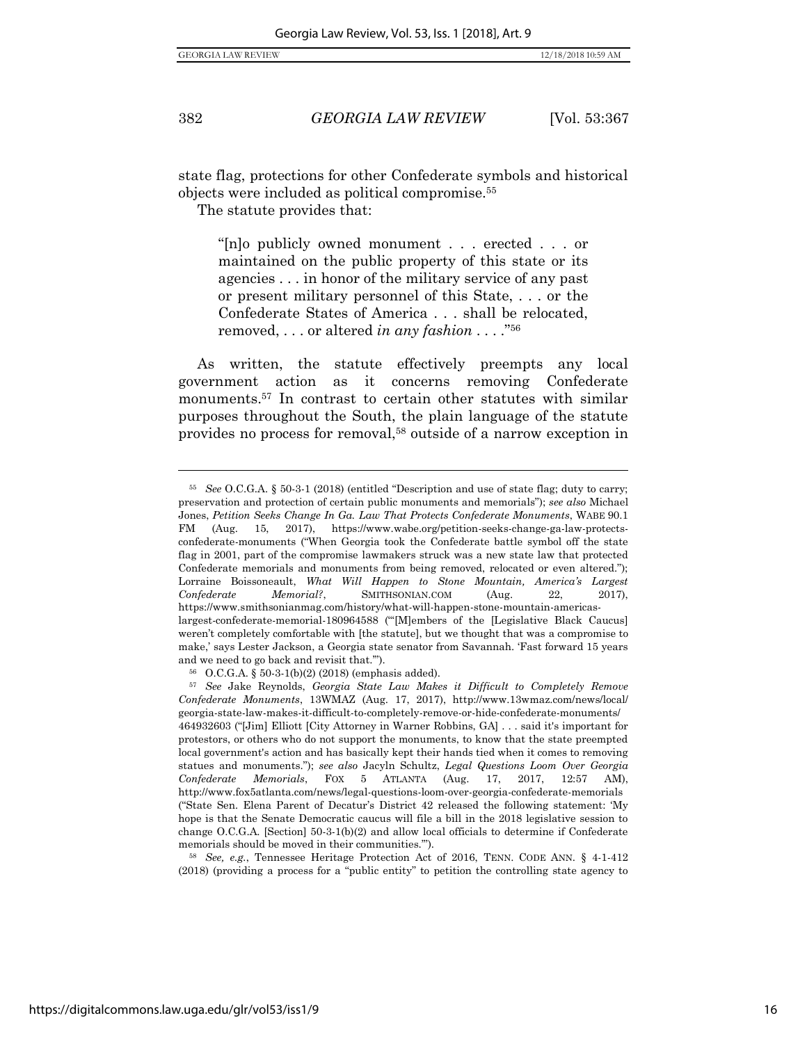<span id="page-17-0"></span> $\overline{a}$ 

382 *GEORGIA LAW REVIEW* [Vol. 53:367

<span id="page-17-2"></span>

state flag, protections for other Confederate symbols and historical objects were included as political compromise.<sup>55</sup>

The statute provides that:

"[n]o publicly owned monument . . . erected . . . or maintained on the public property of this state or its agencies . . . in honor of the military service of any past or present military personnel of this State, . . . or the Confederate States of America . . . shall be relocated, removed, . . . or altered *in any fashion* . . . ."<sup>56</sup>

<span id="page-17-1"></span>As written, the statute effectively preempts any local government action as it concerns removing Confederate monuments.<sup>57</sup> In contrast to certain other statutes with similar purposes throughout the South, the plain language of the statute provides no process for removal,<sup>58</sup> outside of a narrow exception in

<sup>58</sup> *See, e.g.*, Tennessee Heritage Protection Act of 2016, TENN. CODE ANN. § 4-1-412 (2018) (providing a process for a "public entity" to petition the controlling state agency to

<sup>55</sup> *See* O.C.G.A. § 50-3-1 (2018) (entitled "Description and use of state flag; duty to carry; preservation and protection of certain public monuments and memorials"); *see also* Michael Jones, *Petition Seeks Change In Ga. Law That Protects Confederate Monuments*, WABE 90.1 FM (Aug. 15, 2017), https://www.wabe.org/petition-seeks-change-ga-law-protectsconfederate-monuments ("When Georgia took the Confederate battle symbol off the state flag in 2001, part of the compromise lawmakers struck was a new state law that protected Confederate memorials and monuments from being removed, relocated or even altered."); Lorraine Boissoneault, *What Will Happen to Stone Mountain, America's Largest Confederate Memorial?*, SMITHSONIAN.COM (Aug. 22, 2017), https://www.smithsonianmag.com/history/what-will-happen-stone-mountain-americaslargest-confederate-memorial-180964588 ("'[M]embers of the [Legislative Black Caucus] weren't completely comfortable with [the statute], but we thought that was a compromise to make,' says Lester Jackson, a Georgia state senator from Savannah. 'Fast forward 15 years and we need to go back and revisit that.'").

<sup>56</sup> O.C.G.A. § 50-3-1(b)(2) (2018) (emphasis added).

<sup>57</sup> *See* Jake Reynolds, *Georgia State Law Makes it Difficult to Completely Remove Confederate Monuments*, 13WMAZ (Aug. 17, 2017), http://www.13wmaz.com/news/local/ georgia-state-law-makes-it-difficult-to-completely-remove-or-hide-confederate-monuments/ 464932603 ("[Jim] Elliott [City Attorney in Warner Robbins, GA] . . . said it's important for protestors, or others who do not support the monuments, to know that the state preempted local government's action and has basically kept their hands tied when it comes to removing statues and monuments."); *see also* Jacyln Schultz, *Legal Questions Loom Over Georgia Confederate Memorials*, FOX 5 ATLANTA (Aug. 17, 2017, 12:57 AM), http://www.fox5atlanta.com/news/legal-questions-loom-over-georgia-confederate-memorials ("State Sen. Elena Parent of Decatur's District 42 released the following statement: 'My hope is that the Senate Democratic caucus will file a bill in the 2018 legislative session to change O.C.G.A. [Section] 50-3-1(b)(2) and allow local officials to determine if Confederate memorials should be moved in their communities.'").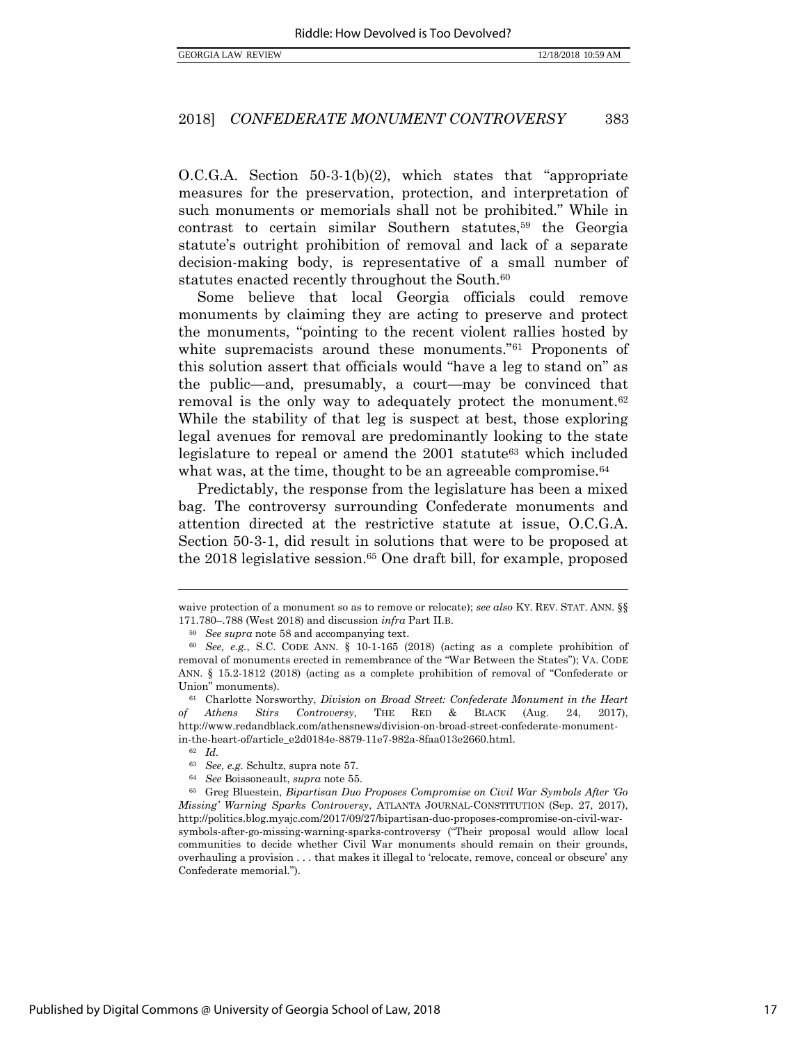O.C.G.A. Section 50-3-1(b)(2), which states that "appropriate measures for the preservation, protection, and interpretation of such monuments or memorials shall not be prohibited." While in contrast to certain similar Southern statutes,<sup>59</sup> the Georgia statute's outright prohibition of removal and lack of a separate decision-making body, is representative of a small number of statutes enacted recently throughout the South.<sup>60</sup>

Some believe that local Georgia officials could remove monuments by claiming they are acting to preserve and protect the monuments, "pointing to the recent violent rallies hosted by white supremacists around these monuments."<sup>61</sup> Proponents of this solution assert that officials would "have a leg to stand on" as the public—and, presumably, a court—may be convinced that removal is the only way to adequately protect the monument.<sup>62</sup> While the stability of that leg is suspect at best, those exploring legal avenues for removal are predominantly looking to the state legislature to repeal or amend the 2001 statute<sup>63</sup> which included what was, at the time, thought to be an agreeable compromise.<sup>64</sup>

Predictably, the response from the legislature has been a mixed bag. The controversy surrounding Confederate monuments and attention directed at the restrictive statute at issue, O.C.G.A. Section 50-3-1, did result in solutions that were to be proposed at the 2018 legislative session. <sup>65</sup> One draft bill, for example, proposed

waive protection of a monument so as to remove or relocate); *see also* KY. REV. STAT. ANN. §§ 171.780–.788 (West 2018) and discussion *infra* Part II.B.

<span id="page-18-0"></span><sup>59</sup> *See supra* note [58](#page-17-0) and accompanying text.

<sup>60</sup> *See, e.g.*, S.C. CODE ANN. § 10-1-165 (2018) (acting as a complete prohibition of removal of monuments erected in remembrance of the "War Between the States"); VA. CODE ANN. § 15.2-1812 (2018) (acting as a complete prohibition of removal of "Confederate or Union" monuments).

<sup>61</sup> Charlotte Norsworthy, *Division on Broad Street: Confederate Monument in the Heart of Athens Stirs Controversy*, THE RED & BLACK (Aug. 24, 2017), http://www.redandblack.com/athensnews/division-on-broad-street-confederate-monumentin-the-heart-of/article\_e2d0184e-8879-11e7-982a-8faa013e2660.html.

<sup>62</sup> *Id.* 

<sup>63</sup> *See, e.g.* Schultz, supra note [57.](#page-17-1)

<sup>64</sup> *See* Boissoneault, *supra* note [55.](#page-17-2)

<sup>65</sup> Greg Bluestein, *Bipartisan Duo Proposes Compromise on Civil War Symbols After 'Go Missing' Warning Sparks Controversy*, ATLANTA JOURNAL-CONSTITUTION (Sep. 27, 2017), http://politics.blog.myajc.com/2017/09/27/bipartisan-duo-proposes-compromise-on-civil-warsymbols-after-go-missing-warning-sparks-controversy ("Their proposal would allow local communities to decide whether Civil War monuments should remain on their grounds, overhauling a provision . . . that makes it illegal to 'relocate, remove, conceal or obscure' any Confederate memorial.").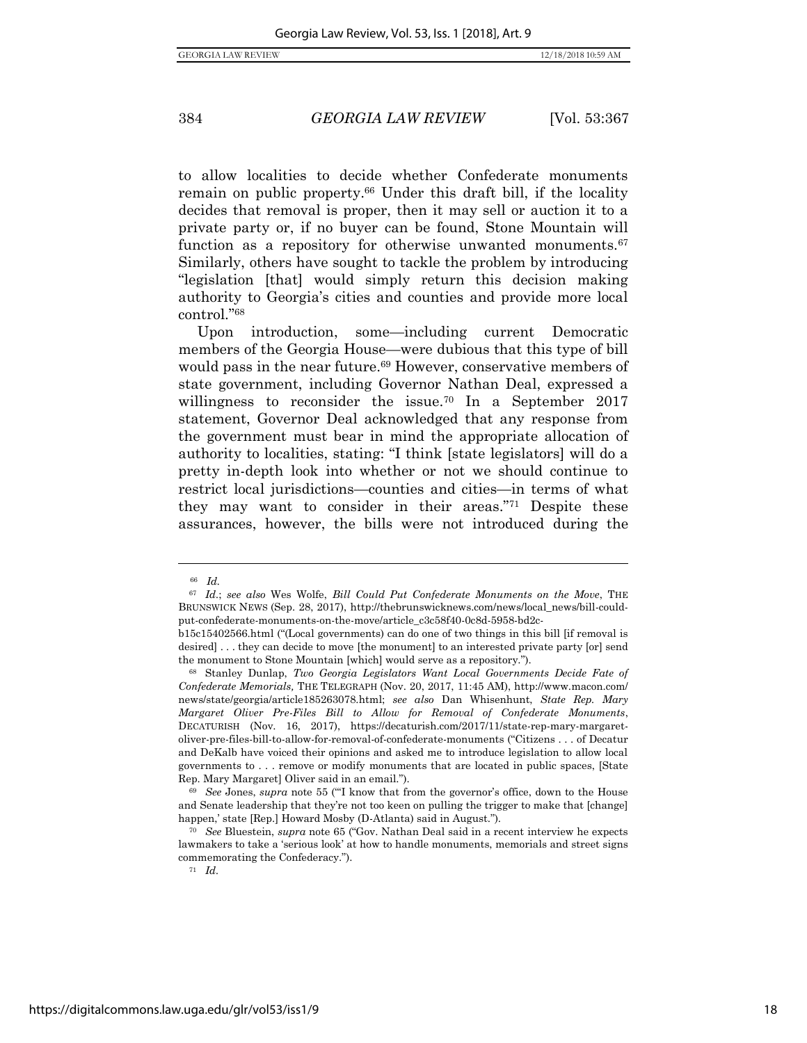to allow localities to decide whether Confederate monuments remain on public property.<sup>66</sup> Under this draft bill, if the locality decides that removal is proper, then it may sell or auction it to a private party or, if no buyer can be found, Stone Mountain will function as a repository for otherwise unwanted monuments.<sup>67</sup> Similarly, others have sought to tackle the problem by introducing "legislation [that] would simply return this decision making authority to Georgia's cities and counties and provide more local control."<sup>68</sup>

Upon introduction, some—including current Democratic members of the Georgia House—were dubious that this type of bill would pass in the near future.<sup>69</sup> However, conservative members of state government, including Governor Nathan Deal, expressed a willingness to reconsider the issue.<sup>70</sup> In a September 2017 statement, Governor Deal acknowledged that any response from the government must bear in mind the appropriate allocation of authority to localities, stating: "I think [state legislators] will do a pretty in-depth look into whether or not we should continue to restrict local jurisdictions—counties and cities—in terms of what they may want to consider in their areas."<sup>71</sup> Despite these assurances, however, the bills were not introduced during the

<sup>66</sup> *Id.*

<sup>67</sup> *Id.*; *see also* Wes Wolfe, *Bill Could Put Confederate Monuments on the Move*, THE BRUNSWICK NEWS (Sep. 28, 2017), http://thebrunswicknews.com/news/local\_news/bill-couldput-confederate-monuments-on-the-move/article\_c3c58f40-0c8d-5958-bd2c-

b15c15402566.html ("(Local governments) can do one of two things in this bill [if removal is desired] . . . they can decide to move [the monument] to an interested private party [or] send the monument to Stone Mountain [which] would serve as a repository.").

<sup>68</sup> Stanley Dunlap, *Two Georgia Legislators Want Local Governments Decide Fate of Confederate Memorials,* THE TELEGRAPH (Nov. 20, 2017, 11:45 AM), http://www.macon.com/ news/state/georgia/article185263078.html; *see also* Dan Whisenhunt, *State Rep. Mary Margaret Oliver Pre-Files Bill to Allow for Removal of Confederate Monuments*, DECATURISH (Nov. 16, 2017), https://decaturish.com/2017/11/state-rep-mary-margaretoliver-pre-files-bill-to-allow-for-removal-of-confederate-monuments ("Citizens . . . of Decatur and DeKalb have voiced their opinions and asked me to introduce legislation to allow local governments to . . . remove or modify monuments that are located in public spaces, [State Rep. Mary Margaret] Oliver said in an email.").

<sup>69</sup> *See* Jones, *supra* note [55](#page-17-2) ("'I know that from the governor's office, down to the House and Senate leadership that they're not too keen on pulling the trigger to make that [change] happen,' state [Rep.] Howard Mosby (D-Atlanta) said in August.").

<sup>70</sup> *See* Bluestein, *supra* note [65](#page-18-0) ("Gov. Nathan Deal said in a recent interview he expects lawmakers to take a 'serious look' at how to handle monuments, memorials and street signs commemorating the Confederacy.").

<sup>71</sup> *Id.*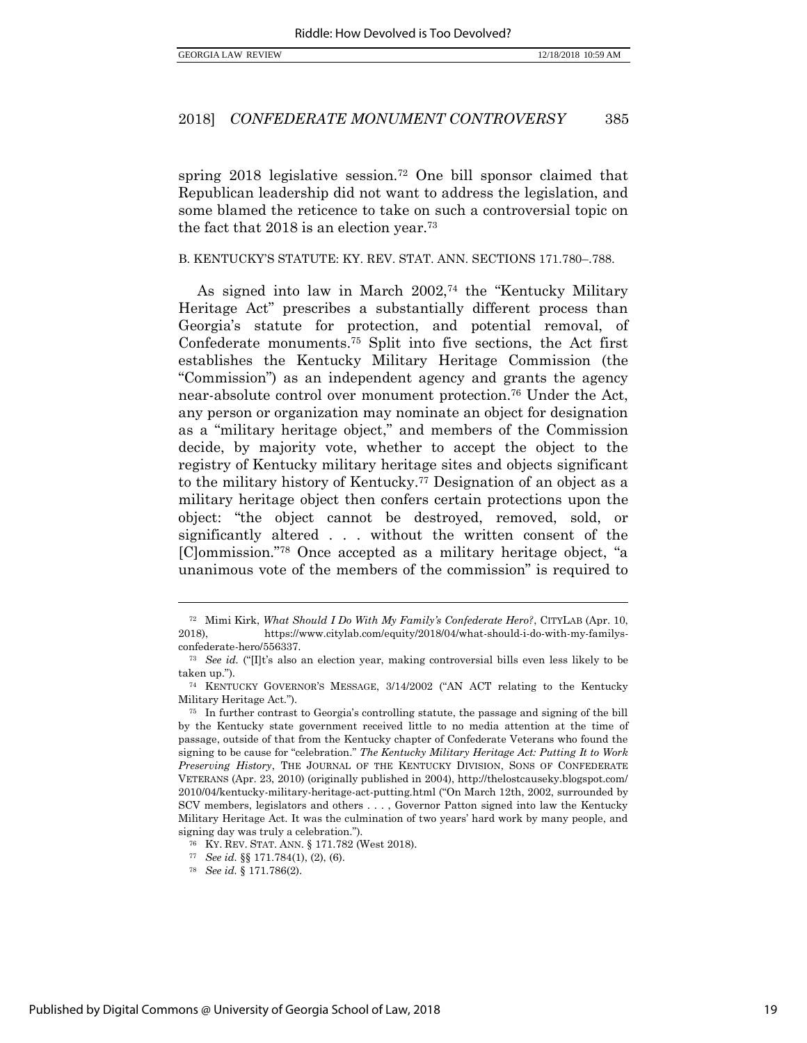spring 2018 legislative session.<sup>72</sup> One bill sponsor claimed that Republican leadership did not want to address the legislation, and some blamed the reticence to take on such a controversial topic on the fact that 2018 is an election year.<sup>73</sup>

#### B. KENTUCKY'S STATUTE: KY. REV. STAT. ANN. SECTIONS 171.780–.788.

As signed into law in March 2002,<sup>74</sup> the "Kentucky Military Heritage Act" prescribes a substantially different process than Georgia's statute for protection, and potential removal, of Confederate monuments.<sup>75</sup> Split into five sections, the Act first establishes the Kentucky Military Heritage Commission (the "Commission") as an independent agency and grants the agency near-absolute control over monument protection.<sup>76</sup> Under the Act, any person or organization may nominate an object for designation as a "military heritage object," and members of the Commission decide, by majority vote, whether to accept the object to the registry of Kentucky military heritage sites and objects significant to the military history of Kentucky.<sup>77</sup> Designation of an object as a military heritage object then confers certain protections upon the object: "the object cannot be destroyed, removed, sold, or significantly altered . . . without the written consent of the [C]ommission."<sup>78</sup> Once accepted as a military heritage object, "a unanimous vote of the members of the commission" is required to

<sup>72</sup> Mimi Kirk, *What Should I Do With My Family's Confederate Hero?*, CITYLAB (Apr. 10, 2018), https://www.citylab.com/equity/2018/04/what-should-i-do-with-my-familysconfederate-hero/556337.

<sup>73</sup> *See id.* ("[I]t's also an election year, making controversial bills even less likely to be taken up.").

<sup>74</sup> KENTUCKY GOVERNOR'S MESSAGE, 3/14/2002 ("AN ACT relating to the Kentucky Military Heritage Act.").

<sup>75</sup> In further contrast to Georgia's controlling statute, the passage and signing of the bill by the Kentucky state government received little to no media attention at the time of passage, outside of that from the Kentucky chapter of Confederate Veterans who found the signing to be cause for "celebration." *The Kentucky Military Heritage Act: Putting It to Work Preserving History*, THE JOURNAL OF THE KENTUCKY DIVISION, SONS OF CONFEDERATE VETERANS (Apr. 23, 2010) (originally published in 2004), http://thelostcauseky.blogspot.com/ 2010/04/kentucky-military-heritage-act-putting.html ("On March 12th, 2002, surrounded by SCV members, legislators and others . . . , Governor Patton signed into law the Kentucky Military Heritage Act. It was the culmination of two years' hard work by many people, and signing day was truly a celebration.").

<sup>76</sup> KY. REV. STAT. ANN. § 171.782 (West 2018).

<sup>77</sup> *See id.* §§ 171.784(1), (2), (6).

<sup>78</sup> *See id.* § 171.786(2).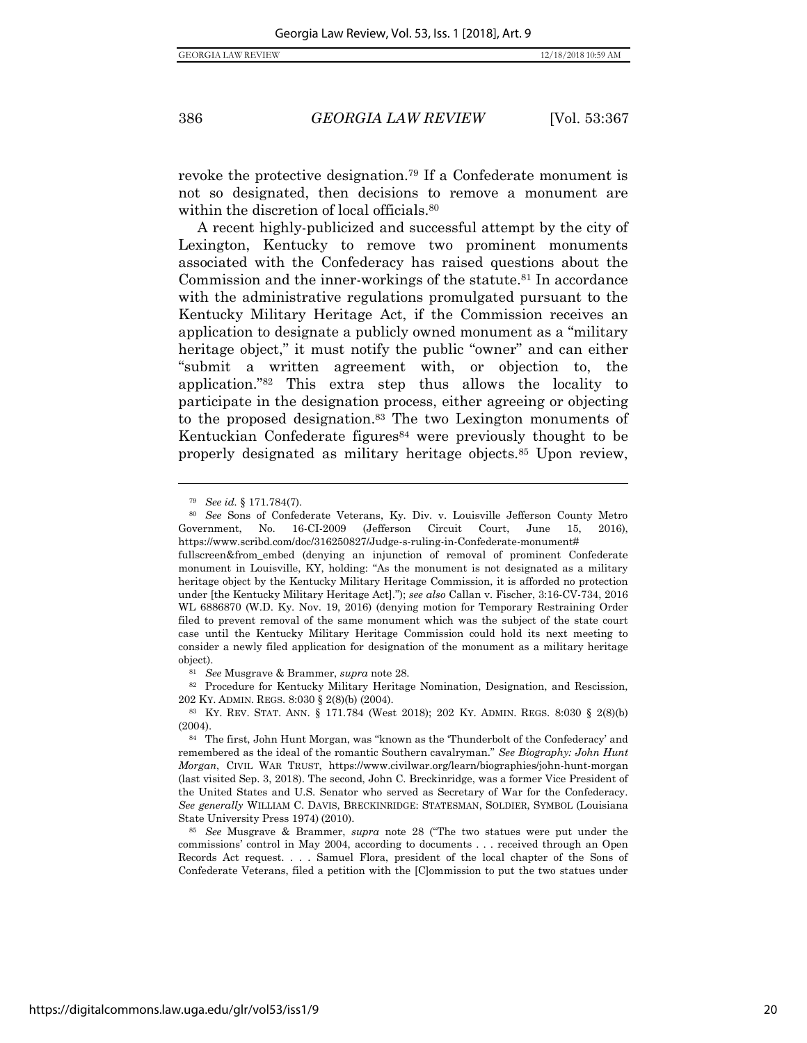revoke the protective designation.<sup>79</sup> If a Confederate monument is not so designated, then decisions to remove a monument are within the discretion of local officials.<sup>80</sup>

A recent highly-publicized and successful attempt by the city of Lexington, Kentucky to remove two prominent monuments associated with the Confederacy has raised questions about the Commission and the inner-workings of the statute.<sup>81</sup> In accordance with the administrative regulations promulgated pursuant to the Kentucky Military Heritage Act, if the Commission receives an application to designate a publicly owned monument as a "military heritage object," it must notify the public "owner" and can either "submit a written agreement with, or objection to, the application."<sup>82</sup> This extra step thus allows the locality to participate in the designation process, either agreeing or objecting to the proposed designation. <sup>83</sup> The two Lexington monuments of Kentuckian Confederate figures  $84$  were previously thought to be properly designated as military heritage objects.<sup>85</sup> Upon review,

 $\overline{a}$ 

<sup>81</sup> *See* Musgrave & Brammer, *supra* not[e 28.](#page-11-0) 

<sup>79</sup> *See id.* § 171.784(7).

<sup>80</sup> *See* Sons of Confederate Veterans, Ky. Div. v. Louisville Jefferson County Metro Government, No. 16-CI-2009 (Jefferson Circuit Court, June 15, 2016), https://www.scribd.com/doc/316250827/Judge-s-ruling-in-Confederate-monument#

fullscreen&from\_embed (denying an injunction of removal of prominent Confederate monument in Louisville, KY, holding: "As the monument is not designated as a military heritage object by the Kentucky Military Heritage Commission, it is afforded no protection under [the Kentucky Military Heritage Act]."); *see also* Callan v. Fischer, 3:16-CV-734, 2016 WL 6886870 (W.D. Ky. Nov. 19, 2016) (denying motion for Temporary Restraining Order filed to prevent removal of the same monument which was the subject of the state court case until the Kentucky Military Heritage Commission could hold its next meeting to consider a newly filed application for designation of the monument as a military heritage object).

<sup>82</sup> Procedure for Kentucky Military Heritage Nomination, Designation, and Rescission, 202 KY. ADMIN. REGS. 8:030 § 2(8)(b) (2004).

<sup>83</sup> KY. REV. STAT. ANN. § 171.784 (West 2018); 202 KY. ADMIN. REGS. 8:030 § 2(8)(b) (2004).

<sup>84</sup> The first, John Hunt Morgan, was "known as the 'Thunderbolt of the Confederacy' and remembered as the ideal of the romantic Southern cavalryman." *See Biography: John Hunt Morgan*, CIVIL WAR TRUST, https://www.civilwar.org/learn/biographies/john-hunt-morgan (last visited Sep. 3, 2018). The second, John C. Breckinridge, was a former Vice President of the United States and U.S. Senator who served as Secretary of War for the Confederacy. *See generally* WILLIAM C. DAVIS, BRECKINRIDGE: STATESMAN, SOLDIER, SYMBOL (Louisiana State University Press 1974) (2010).

<sup>85</sup> *See* Musgrave & Brammer, *supra* note [28](#page-11-0) ("The two statues were put under the commissions' control in May 2004, according to documents . . . received through an Open Records Act request. . . . Samuel Flora, president of the local chapter of the Sons of Confederate Veterans, filed a petition with the [C]ommission to put the two statues under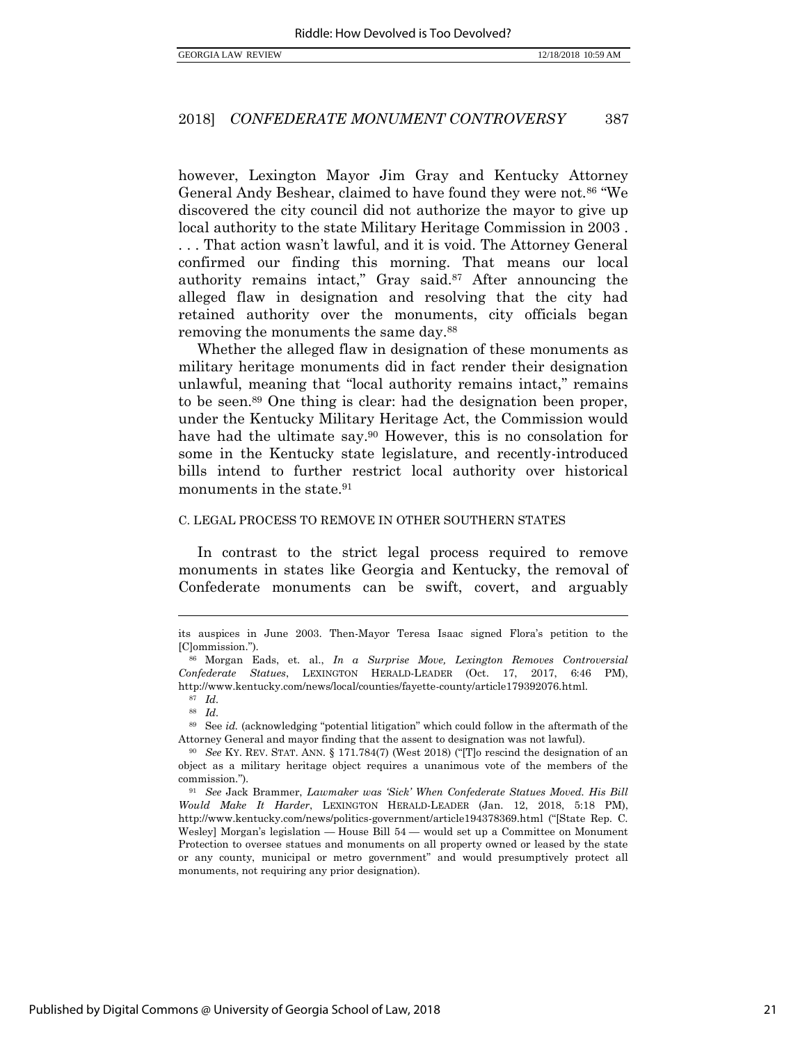however, Lexington Mayor Jim Gray and Kentucky Attorney General Andy Beshear, claimed to have found they were not.<sup>86</sup> "We discovered the city council did not authorize the mayor to give up local authority to the state Military Heritage Commission in 2003 . . . . That action wasn't lawful, and it is void. The Attorney General confirmed our finding this morning. That means our local authority remains intact," Gray said. <sup>87</sup> After announcing the alleged flaw in designation and resolving that the city had retained authority over the monuments, city officials began removing the monuments the same day.<sup>88</sup>

Whether the alleged flaw in designation of these monuments as military heritage monuments did in fact render their designation unlawful, meaning that "local authority remains intact," remains to be seen.<sup>89</sup> One thing is clear: had the designation been proper, under the Kentucky Military Heritage Act, the Commission would have had the ultimate say.<sup>90</sup> However, this is no consolation for some in the Kentucky state legislature, and recently-introduced bills intend to further restrict local authority over historical monuments in the state.<sup>91</sup>

#### C. LEGAL PROCESS TO REMOVE IN OTHER SOUTHERN STATES

In contrast to the strict legal process required to remove monuments in states like Georgia and Kentucky, the removal of Confederate monuments can be swift, covert, and arguably

its auspices in June 2003. Then-Mayor Teresa Isaac signed Flora's petition to the [C]ommission.").

<sup>86</sup> Morgan Eads, et. al., *In a Surprise Move, Lexington Removes Controversial Confederate Statues*, LEXINGTON HERALD-LEADER (Oct. 17, 2017, 6:46 PM), http://www.kentucky.com/news/local/counties/fayette-county/article179392076.html.

<sup>87</sup> *Id.*  <sup>88</sup> *Id.* 

<sup>89</sup> See *id.* (acknowledging "potential litigation" which could follow in the aftermath of the Attorney General and mayor finding that the assent to designation was not lawful).

<sup>90</sup> *See* KY. REV. STAT. ANN. § 171.784(7) (West 2018) ("[T]o rescind the designation of an object as a military heritage object requires a unanimous vote of the members of the commission.").

<sup>91</sup> *See* Jack Brammer, *Lawmaker was 'Sick' When Confederate Statues Moved. His Bill Would Make It Harder*, LEXINGTON HERALD-LEADER (Jan. 12, 2018, 5:18 PM), http://www.kentucky.com/news/politics-government/article194378369.html ("[State Rep. C. Wesley] Morgan's legislation — [House Bill 54](http://www.lrc.ky.gov/record/18RS/HB54.htm) — would set up a Committee on Monument Protection to oversee statues and monuments on all property owned or leased by the state or any county, municipal or metro government" and would presumptively protect all monuments, not requiring any prior designation).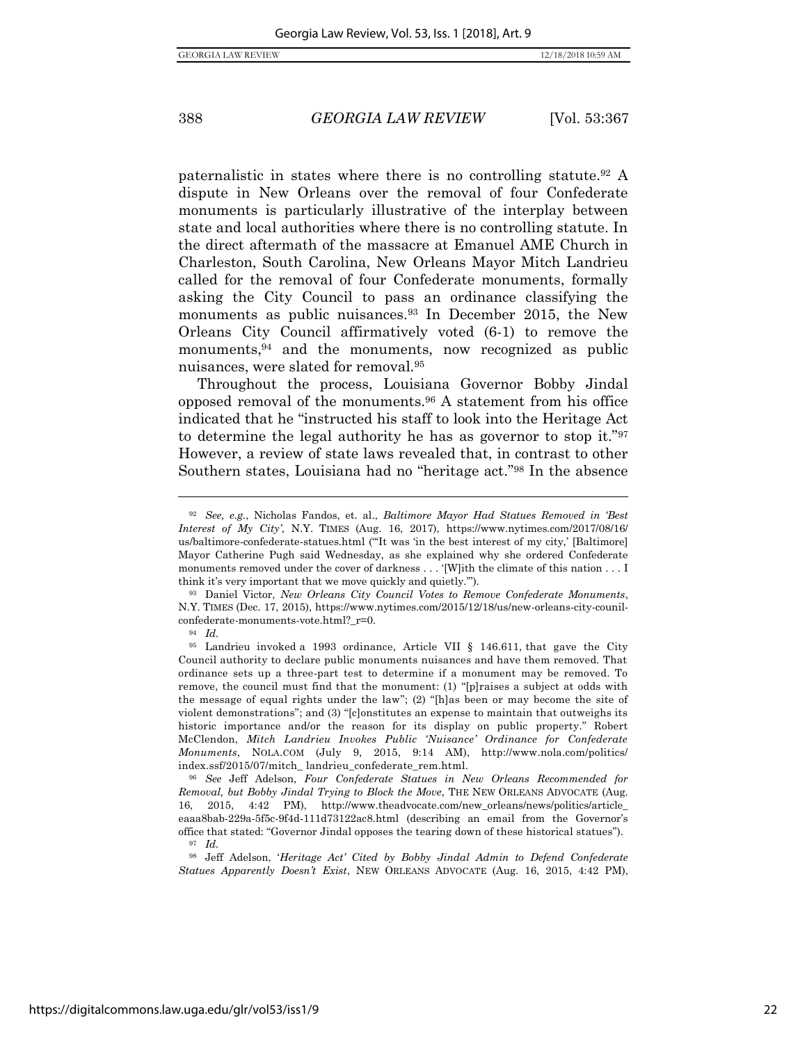<span id="page-23-1"></span>

paternalistic in states where there is no controlling statute.<sup>92</sup> A dispute in New Orleans over the removal of four Confederate monuments is particularly illustrative of the interplay between state and local authorities where there is no controlling statute. In the direct aftermath of the massacre at Emanuel AME Church in Charleston, South Carolina, New Orleans Mayor Mitch Landrieu called for the removal of four Confederate monuments, formally asking the City Council to pass an ordinance classifying the monuments as public nuisances.<sup>93</sup> In December 2015, the New Orleans City Council affirmatively voted (6-1) to remove the monuments,<sup>94</sup> and the monuments, now recognized as public nuisances, were slated for removal.<sup>95</sup>

<span id="page-23-0"></span>Throughout the process, Louisiana Governor Bobby Jindal opposed removal of the monuments.<sup>96</sup> A statement from his office indicated that he "instructed his staff to look into the Heritage Act to determine the legal authority he has as governor to stop it."<sup>97</sup> However, a review of state laws revealed that, in contrast to other Southern states, Louisiana had no "heritage act."<sup>98</sup> In the absence

<sup>94</sup> *Id.*

<sup>92</sup> *See, e.g.*, Nicholas Fandos, et. al., *Baltimore Mayor Had Statues Removed in 'Best Interest of My City'*, N.Y. TIMES (Aug. 16, 2017), https://www.nytimes.com/2017/08/16/ us/baltimore-confederate-statues.html ("'It was 'in the best interest of my city,' [Baltimore] Mayor Catherine Pugh said Wednesday, as she explained why she ordered Confederate monuments removed under the cover of darkness . . . '[W]ith the climate of this nation . . . I think it's very important that we move quickly and quietly.'").

<sup>93</sup> Daniel Victor, *New Orleans City Council Votes to Remove Confederate Monuments*, N.Y. TIMES (Dec. 17, 2015), https://www.nytimes.com/2015/12/18/us/new-orleans-city-counilconfederate-monuments-vote.html?\_r=0.

<sup>95</sup> Landrieu invoked a 1993 ordinance, Article VII § 146.611, that gave the City Council authority to declare public monuments nuisances and have them removed. That ordinance sets up a three-part test to determine if a monument may be removed. To remove, the council must find that the monument: (1) "[p]raises a subject at odds with the message of equal rights under the law"; (2) "[h]as been or may become the site of violent demonstrations"; and (3) "[c]onstitutes an expense to maintain that outweighs its historic importance and/or the reason for its display on public property." Robert McClendon, *Mitch Landrieu Invokes Public 'Nuisance' Ordinance for Confederate Monuments*, NOLA.COM (July 9, 2015, 9:14 AM), http://www.nola.com/politics/ index.ssf/2015/07/mitch\_ landrieu\_confederate\_rem.html.

<sup>96</sup> *See* Jeff Adelson, *Four Confederate Statues in New Orleans Recommended for Removal, but Bobby Jindal Trying to Block the Move*, THE NEW ORLEANS ADVOCATE (Aug. 16, 2015, 4:42 PM), http://www.theadvocate.com/new\_orleans/news/politics/article\_ eaaa8bab-229a-5f5c-9f4d-111d73122ac8.html (describing an email from the Governor's office that stated: "Governor Jindal opposes the tearing down of these historical statues"). <sup>97</sup> *Id.*

<sup>98</sup> Jeff Adelson, '*Heritage Act' Cited by Bobby Jindal Admin to Defend Confederate Statues Apparently Doesn't Exist*, NEW ORLEANS ADVOCATE (Aug. 16, 2015, 4:42 PM),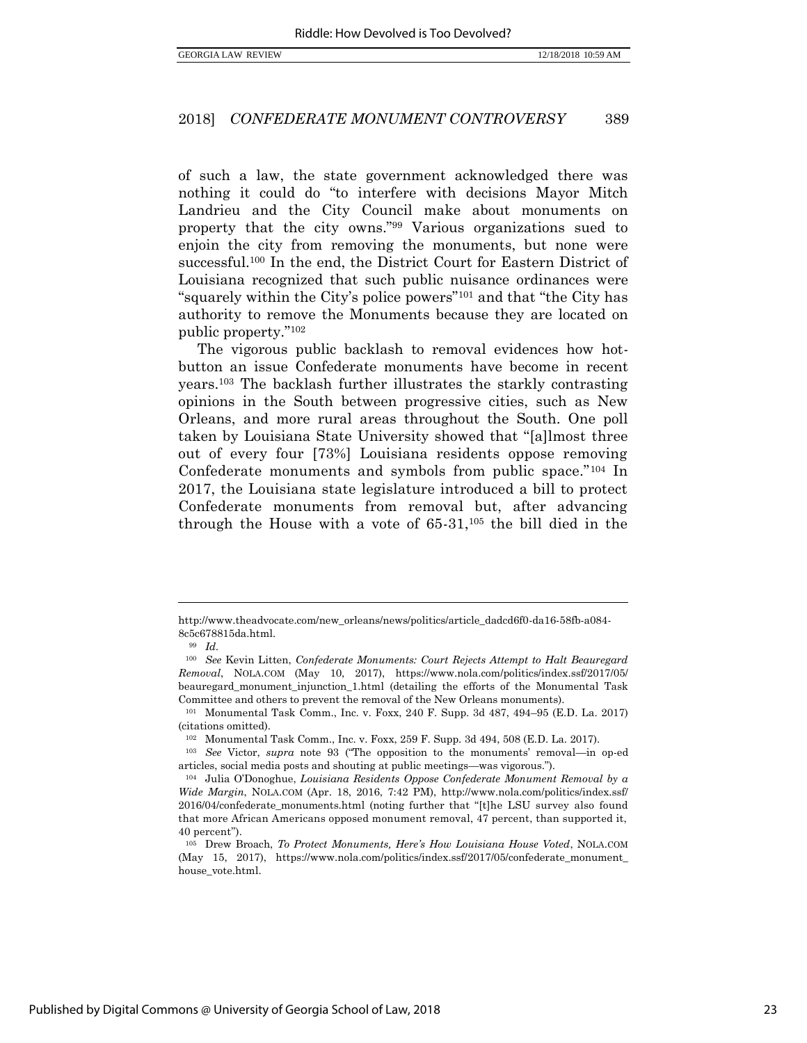of such a law, the state government acknowledged there was nothing it could do "to interfere with decisions Mayor Mitch Landrieu and the City Council make about monuments on property that the city owns."<sup>99</sup> Various organizations sued to enjoin the city from removing the monuments, but none were successful.<sup>100</sup> In the end, the District Court for Eastern District of Louisiana recognized that such public nuisance ordinances were "squarely within the City's police powers"<sup>101</sup> and that "the City has authority to remove the Monuments because they are located on public property."<sup>102</sup>

<span id="page-24-0"></span>The vigorous public backlash to removal evidences how hotbutton an issue Confederate monuments have become in recent years. <sup>103</sup> The backlash further illustrates the starkly contrasting opinions in the South between progressive cities, such as New Orleans, and more rural areas throughout the South. One poll taken by Louisiana State University showed that "[a]lmost three out of every four [73%] Louisiana residents oppose removing Confederate monuments and symbols from public space."<sup>104</sup> In 2017, the Louisiana state legislature introduced a bill to protect Confederate monuments from removal but, after advancing through the House with a vote of  $65-31$ ,  $105$  the bill died in the

http://www.theadvocate.com/new\_orleans/news/politics/article\_dadcd6f0-da16-58fb-a084- 8c5c678815da.html.

<sup>99</sup> *Id.* 

<sup>100</sup> *See* Kevin Litten, *Confederate Monuments: Court Rejects Attempt to Halt Beauregard Removal*, NOLA.COM (May 10, 2017), [https://www.nola.com/politics/index.ssf/2017/05/](https://www.nola.com/politics/index.ssf/2017/05/beauregard_monument_injunction_1.html) [beauregard\\_monument\\_injunction\\_1.html](https://www.nola.com/politics/index.ssf/2017/05/beauregard_monument_injunction_1.html) (detailing the efforts of the Monumental Task Committee and others to prevent the removal of the New Orleans monuments).

<sup>101</sup> Monumental Task Comm., Inc. v. Foxx, 240 F. Supp. 3d 487, 494–95 (E.D. La. 2017) (citations omitted).

<sup>102</sup> Monumental Task Comm., Inc. v. Foxx, 259 F. Supp. 3d 494, 508 (E.D. La. 2017).

<sup>103</sup> *See* Victor, *supra* note [93](#page-23-0) ("The opposition to the monuments' removal—in op-ed articles, social media posts and shouting at public meetings—was vigorous.").

<sup>104</sup> Julia O'Donoghue, *Louisiana Residents Oppose Confederate Monument Removal by a Wide Margin*, NOLA.COM (Apr. 18, 2016, 7:42 PM), http://www.nola.com/politics/index.ssf/ 2016/04/confederate\_monuments.html (noting further that "[t]he LSU survey also found that more African Americans opposed monument removal, 47 percent, than supported it, 40 percent").

<sup>105</sup> Drew Broach, *To Protect Monuments, Here's How Louisiana House Voted*, NOLA.COM (May 15, 2017), [https://www.nola.com/politics/index.ssf/2017/05/confederate\\_monument\\_](https://www.nola.com/politics/index.ssf/2017/05/confederate_monument_house_vote.html) [house\\_vote.html.](https://www.nola.com/politics/index.ssf/2017/05/confederate_monument_house_vote.html)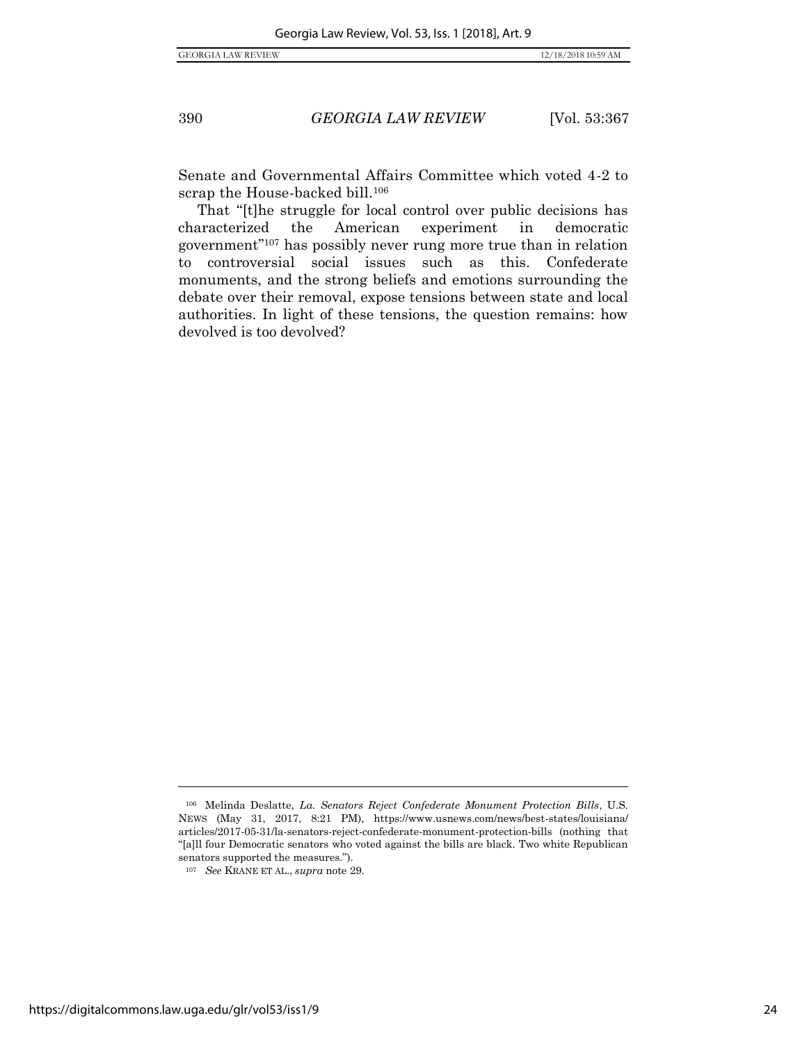Senate and Governmental Affairs Committee which voted 4-2 to scrap the House-backed bill.<sup>106</sup>

That "[t]he struggle for local control over public decisions has characterized the American experiment in democratic government"<sup>107</sup> has possibly never rung more true than in relation to controversial social issues such as this. Confederate monuments, and the strong beliefs and emotions surrounding the debate over their removal, expose tensions between state and local authorities. In light of these tensions, the question remains: how devolved is too devolved?

<sup>106</sup> Melinda Deslatte, *La. Senators Reject Confederate Monument Protection Bills*, U.S. NEWS (May 31, 2017, 8:21 PM), https://www.usnews.com/news/best-states/louisiana/ articles/2017-05-31/la-senators-reject-confederate-monument-protection-bills (nothing that "[a]ll four Democratic senators who voted against the bills are black. Two white Republican senators supported the measures.").

<sup>107</sup> *See* KRANE ET AL., *supra* not[e 29.](#page-12-0)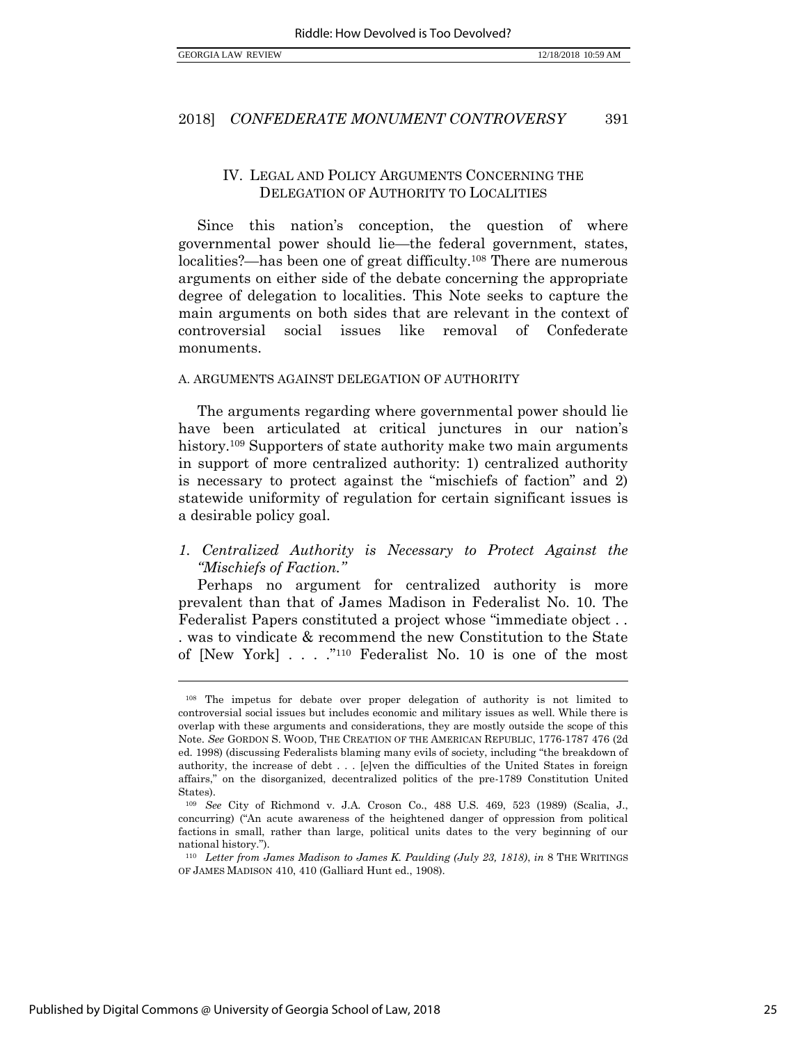## IV. LEGAL AND POLICY ARGUMENTS CONCERNING THE DELEGATION OF AUTHORITY TO LOCALITIES

Since this nation's conception, the question of where governmental power should lie—the federal government, states, localities?—has been one of great difficulty.<sup>108</sup> There are numerous arguments on either side of the debate concerning the appropriate degree of delegation to localities. This Note seeks to capture the main arguments on both sides that are relevant in the context of controversial social issues like removal of Confederate monuments.

#### A. ARGUMENTS AGAINST DELEGATION OF AUTHORITY

The arguments regarding where governmental power should lie have been articulated at critical junctures in our nation's history.<sup>109</sup> Supporters of state authority make two main arguments in support of more centralized authority: 1) centralized authority is necessary to protect against the "mischiefs of faction" and 2) statewide uniformity of regulation for certain significant issues is a desirable policy goal.

## *1. Centralized Authority is Necessary to Protect Against the "Mischiefs of Faction."*

Perhaps no argument for centralized authority is more prevalent than that of James Madison in Federalist No. 10. The Federalist Papers constituted a project whose "immediate object . . . was to vindicate & recommend the new Constitution to the State of [New York] . . . ."<sup>110</sup> Federalist No. 10 is one of the most

<sup>108</sup> The impetus for debate over proper delegation of authority is not limited to controversial social issues but includes economic and military issues as well. While there is overlap with these arguments and considerations, they are mostly outside the scope of this Note. *See* GORDON S. WOOD, THE CREATION OF THE AMERICAN REPUBLIC, 1776-1787 476 (2d ed. 1998) (discussing Federalists blaming many evils of society, including "the breakdown of authority, the increase of debt . . . [e]ven the difficulties of the United States in foreign affairs," on the disorganized, decentralized politics of the pre-1789 Constitution United States).

<sup>109</sup> *See* City of Richmond v. J.A. Croson Co., 488 U.S. 469, 523 (1989) (Scalia, J., concurring) ("An acute awareness of the heightened danger of oppression from political factions in small, rather than large, political units dates to the very beginning of our national history.").

<sup>110</sup> *Letter from James Madison to James K. Paulding (July 23, 1818)*, *in* 8 THE WRITINGS OF JAMES MADISON 410, 410 (Galliard Hunt ed., 1908).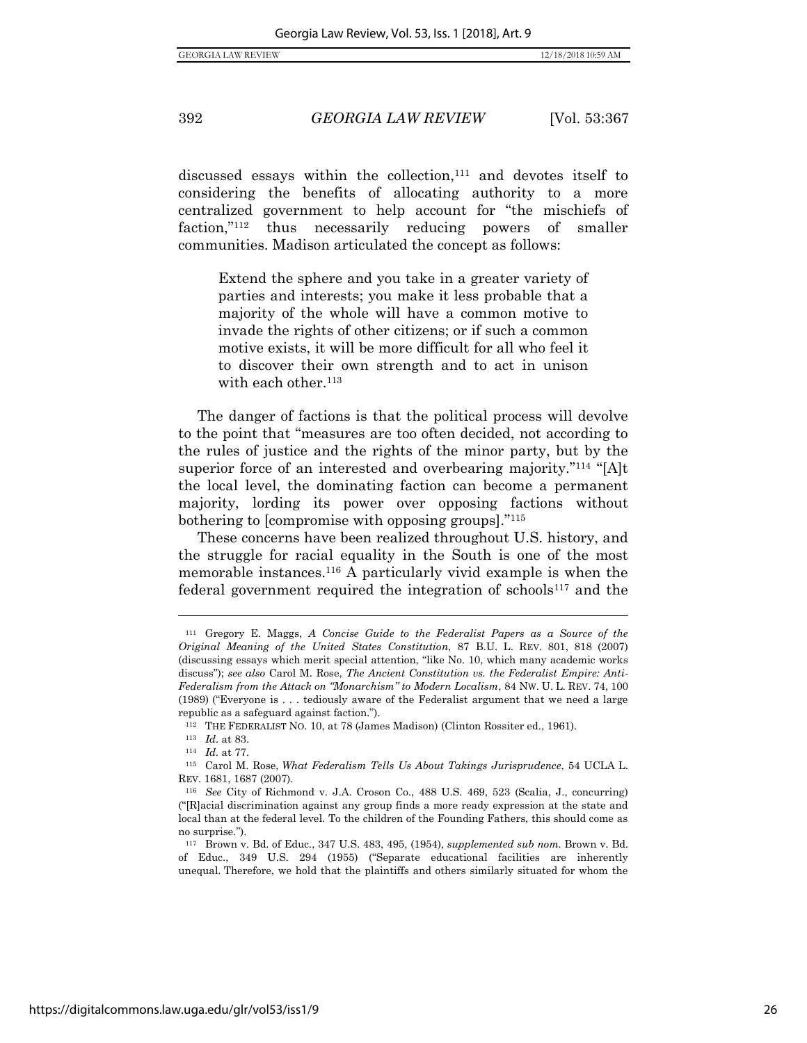<span id="page-27-2"></span>

discussed essays within the collection,<sup>111</sup> and devotes itself to considering the benefits of allocating authority to a more centralized government to help account for "the mischiefs of faction,"<sup>112</sup> thus necessarily reducing powers of smaller communities. Madison articulated the concept as follows:

<span id="page-27-0"></span>Extend the sphere and you take in a greater variety of parties and interests; you make it less probable that a majority of the whole will have a common motive to invade the rights of other citizens; or if such a common motive exists, it will be more difficult for all who feel it to discover their own strength and to act in unison with each other.<sup>113</sup>

The danger of factions is that the political process will devolve to the point that "measures are too often decided, not according to the rules of justice and the rights of the minor party, but by the superior force of an interested and overbearing majority."<sup>114</sup> "[A]t the local level, the dominating faction can become a permanent majority, lording its power over opposing factions without bothering to [compromise with opposing groups]."<sup>115</sup>

<span id="page-27-1"></span>These concerns have been realized throughout U.S. history, and the struggle for racial equality in the South is one of the most memorable instances.<sup>116</sup> A particularly vivid example is when the federal government required the integration of  $schools<sup>117</sup>$  and the

<sup>111</sup> Gregory E. Maggs, *A Concise Guide to the Federalist Papers as a Source of the Original Meaning of the United States Constitution*, 87 B.U. L. REV. 801, 818 (2007) (discussing essays which merit special attention, "like No. 10, which many academic works discuss"); *see also* Carol M. Rose, *The Ancient Constitution vs. the Federalist Empire: Anti-Federalism from the Attack on "Monarchism" to Modern Localism*, 84 NW. U. L. REV. 74, 100 (1989) ("Everyone is . . . tediously aware of the Federalist argument that we need a large republic as a safeguard against faction.").

<sup>112</sup> THE FEDERALIST NO. 10, at 78 (James Madison) (Clinton Rossiter ed., 1961).

<sup>113</sup> *Id.* at 83.

<sup>114</sup> *Id.* at 77.

<sup>115</sup> Carol M. Rose, *What Federalism Tells Us About Takings Jurisprudence*, 54 UCLA L. REV. 1681, 1687 (2007).

<sup>116</sup> *See* City of Richmond v. J.A. Croson Co., 488 U.S. 469, 523 (Scalia, J., concurring) ("[R]acial discrimination against any group finds a more ready expression at the state and local than at the federal level. To the children of the Founding Fathers, this should come as no surprise.").

<sup>117</sup> Brown v. Bd. of Educ., 347 U.S. 483, 495, (1954), *supplemented sub nom.* Brown v. Bd. of Educ., 349 U.S. 294 (1955) ("Separate educational facilities are inherently unequal. Therefore, we hold that the plaintiffs and others similarly situated for whom the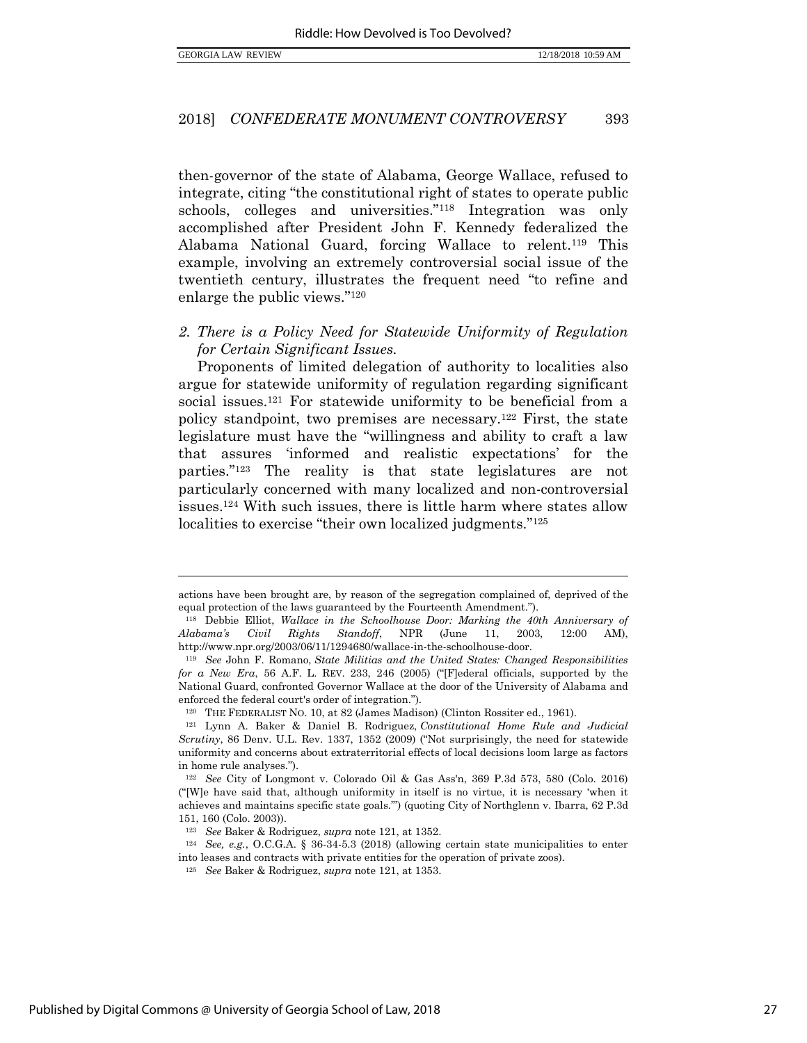then-governor of the state of Alabama, George Wallace, refused to integrate, citing "the constitutional right of states to operate public schools, colleges and universities."<sup>118</sup> Integration was only accomplished after President John F. Kennedy federalized the Alabama National Guard, forcing Wallace to relent.<sup>119</sup> This example, involving an extremely controversial social issue of the twentieth century, illustrates the frequent need "to refine and enlarge the public views."<sup>120</sup>

*2. There is a Policy Need for Statewide Uniformity of Regulation for Certain Significant Issues.* 

<span id="page-28-0"></span>Proponents of limited delegation of authority to localities also argue for statewide uniformity of regulation regarding significant social issues.<sup>121</sup> For statewide uniformity to be beneficial from a policy standpoint, two premises are necessary.<sup>122</sup> First, the state legislature must have the "willingness and ability to craft a law that assures 'informed and realistic expectations' for the parties."<sup>123</sup> The reality is that state legislatures are not particularly concerned with many localized and non-controversial issues.<sup>124</sup> With such issues, there is little harm where states allow localities to exercise "their own localized judgments."<sup>125</sup>

actions have been brought are, by reason of the segregation complained of, deprived of the equal protection of the laws guaranteed by the Fourteenth Amendment.").

<sup>118</sup> Debbie Elliot, *Wallace in the Schoolhouse Door: Marking the 40th Anniversary of Alabama's Civil Rights Standoff*, NPR (June 11, 2003, 12:00 AM), http://www.npr.org/2003/06/11/1294680/wallace-in-the-schoolhouse-door.

<sup>119</sup> *See* John F. Romano, *State Militias and the United States: Changed Responsibilities for a New Era*, 56 A.F. L. REV. 233, 246 (2005) ("[F]ederal officials, supported by the National Guard, confronted Governor Wallace at the door of the University of Alabama and enforced the federal court's order of integration.").

<sup>120</sup> THE FEDERALIST NO. 10, at 82 (James Madison) (Clinton Rossiter ed., 1961).

<sup>121</sup> Lynn A. Baker & Daniel B. Rodriguez, *Constitutional Home Rule and Judicial Scrutiny*, 86 Denv. U.L. Rev. 1337, 1352 (2009) ("Not surprisingly, the need for statewide uniformity and concerns about extraterritorial effects of local decisions loom large as factors in home rule analyses.").

<sup>122</sup> *See* City of Longmont v. Colorado Oil & Gas Ass'n, 369 P.3d 573, 580 (Colo. 2016) ("[W]e have said that, although uniformity in itself is no virtue, it is necessary 'when it achieves and maintains specific state goals.'") (quoting City of Northglenn v. Ibarra*,* 62 P.3d 151, 160 (Colo. 2003)).

<sup>123</sup> *See* Baker & Rodriguez, *supra* not[e 121,](#page-28-0) at 1352.

<sup>124</sup> *See, e.g.*, O.C.G.A. § 36-34-5.3 (2018) (allowing certain state municipalities to enter into leases and contracts with private entities for the operation of private zoos).

<sup>125</sup> *See* Baker & Rodriguez, *supra* not[e 121,](#page-28-0) at 1353.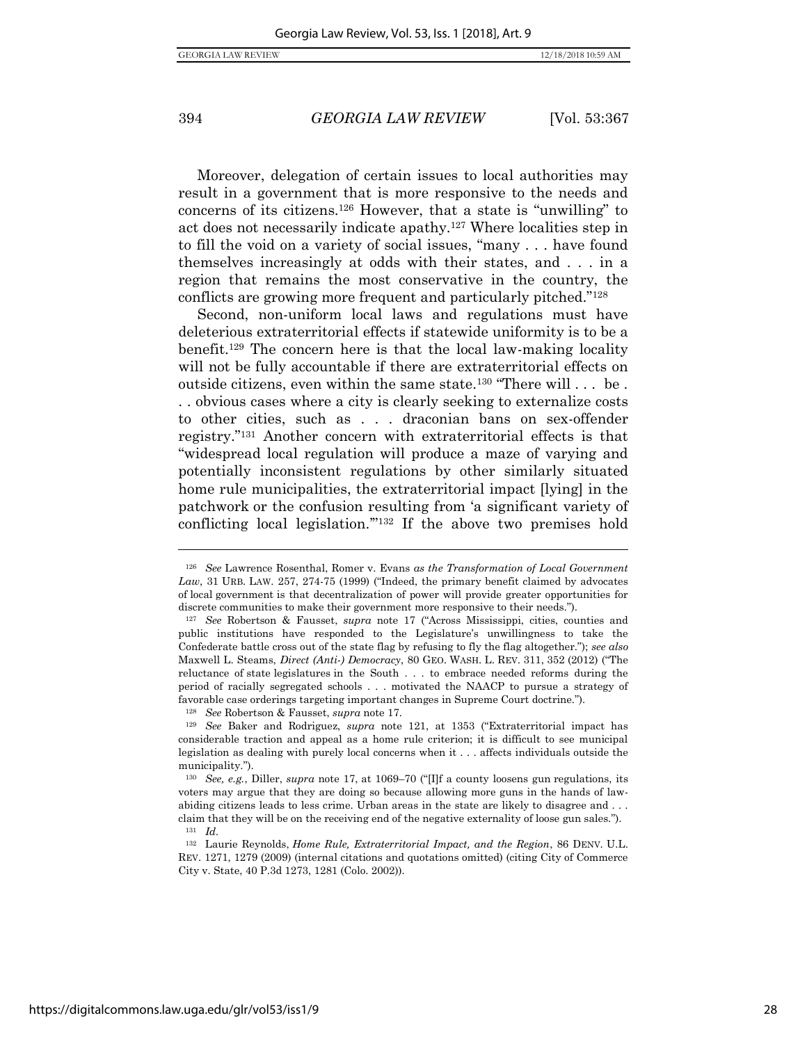$\overline{a}$ 

#### 394 *GEORGIA LAW REVIEW* [Vol. 53:367

<span id="page-29-0"></span>Moreover, delegation of certain issues to local authorities may result in a government that is more responsive to the needs and concerns of its citizens.<sup>126</sup> However, that a state is "unwilling" to act does not necessarily indicate apathy.<sup>127</sup> Where localities step in to fill the void on a variety of social issues, "many . . . have found themselves increasingly at odds with their states, and . . . in a region that remains the most conservative in the country, the conflicts are growing more frequent and particularly pitched."<sup>128</sup>

Second, non-uniform local laws and regulations must have deleterious extraterritorial effects if statewide uniformity is to be a benefit. <sup>129</sup> The concern here is that the local law-making locality will not be fully accountable if there are extraterritorial effects on outside citizens, even within the same state.<sup>130</sup> "There will . . . be . . . obvious cases where a city is clearly seeking to externalize costs to other cities, such as . . . draconian bans on sex-offender registry."<sup>131</sup> Another concern with extraterritorial effects is that "widespread local regulation will produce a maze of varying and potentially inconsistent regulations by other similarly situated home rule municipalities, the extraterritorial impact [lying] in the patchwork or the confusion resulting from 'a significant variety of conflicting local legislation.'"<sup>132</sup> If the above two premises hold

<sup>126</sup> *See* Lawrence Rosenthal, Romer v. Evans *as the Transformation of Local Government Law*, 31 URB. LAW. 257, 274-75 (1999) ("Indeed, the primary benefit claimed by advocates of local government is that decentralization of power will provide greater opportunities for discrete communities to make their government more responsive to their needs.").

<sup>127</sup> *See* Robertson & Fausset, *supra* note [17](#page-8-1) ("Across Mississippi, cities, counties and public institutions have responded to the Legislature's unwillingness to take the Confederate battle cross out of the state flag by refusing to fly the flag altogether."); *see also*  Maxwell L. Steams, *Direct (Anti-) Democracy*, 80 GEO. WASH. L. REV. 311, 352 (2012) ("The reluctance of state legislatures in the South . . . to embrace needed reforms during the period of racially segregated schools . . . motivated the NAACP to pursue a strategy of favorable case orderings targeting important changes in Supreme Court doctrine.").

<sup>128</sup> *See* Robertson & Fausset, *supra* note [17.](#page-8-1)

<sup>129</sup> *See* Baker and Rodriguez, *supra* note [121](#page-28-0), at 1353 ("Extraterritorial impact has considerable traction and appeal as a home rule criterion; it is difficult to see municipal legislation as dealing with purely local concerns when it . . . affects individuals outside the municipality.").

<sup>130</sup> *See, e.g.*, Diller, *supra* note [17,](#page-8-1) at 1069–70 ("[I]f a county loosens gun regulations, its voters may argue that they are doing so because allowing more guns in the hands of lawabiding citizens leads to less crime. Urban areas in the state are likely to disagree and . . . claim that they will be on the receiving end of the negative externality of loose gun sales."). <sup>131</sup> *Id.* 

<sup>132</sup> Laurie Reynolds, *Home Rule, Extraterritorial Impact, and the Region*, 86 DENV. U.L. REV. 1271, 1279 (2009) (internal citations and quotations omitted) (citing City of Commerce City v. State, 40 P.3d 1273, 1281 (Colo. 2002)).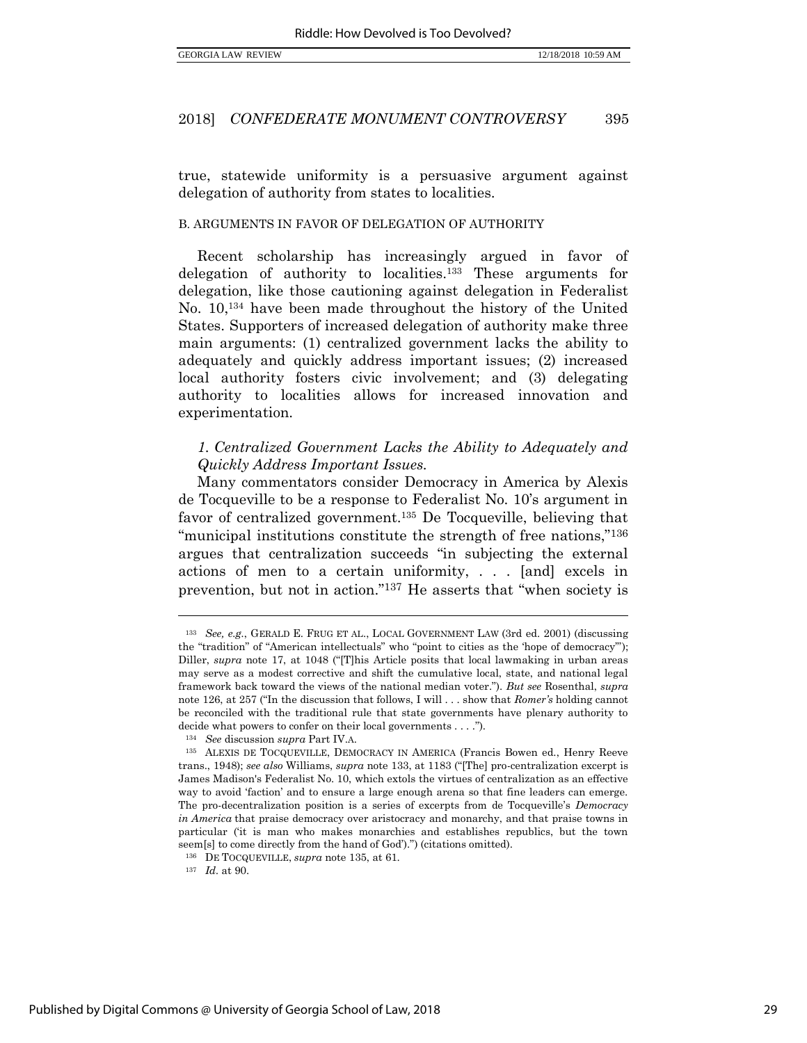true, statewide uniformity is a persuasive argument against delegation of authority from states to localities.

#### B. ARGUMENTS IN FAVOR OF DELEGATION OF AUTHORITY

<span id="page-30-0"></span>Recent scholarship has increasingly argued in favor of delegation of authority to localities.<sup>133</sup> These arguments for delegation, like those cautioning against delegation in Federalist No. 10,<sup>134</sup> have been made throughout the history of the United States. Supporters of increased delegation of authority make three main arguments: (1) centralized government lacks the ability to adequately and quickly address important issues; (2) increased local authority fosters civic involvement; and (3) delegating authority to localities allows for increased innovation and experimentation.

## *1. Centralized Government Lacks the Ability to Adequately and Quickly Address Important Issues.*

Many commentators consider Democracy in America by Alexis de Tocqueville to be a response to Federalist No. 10's argument in favor of centralized government.<sup>135</sup> De Tocqueville, believing that "municipal institutions constitute the strength of free nations,"<sup>136</sup> argues that centralization succeeds "in subjecting the external actions of men to a certain uniformity, . . . [and] excels in prevention, but not in action."<sup>137</sup> He asserts that "when society is

<sup>133</sup> *See, e.g.*, GERALD E. FRUG ET AL., LOCAL GOVERNMENT LAW (3rd ed. 2001) (discussing the "tradition" of "American intellectuals" who "point to cities as the 'hope of democracy'"); Diller, *supra* note [17](#page-8-1), at 1048 ("[T]his Article posits that local lawmaking in urban areas may serve as a modest corrective and shift the cumulative local, state, and national legal framework back toward the views of the national median voter."). *But see* Rosenthal, *supra*  not[e 126](#page-29-0), at 257 ("In the discussion that follows, I will . . . show that *Romer's* holding cannot be reconciled with the traditional rule that state governments have plenary authority to decide what powers to confer on their local governments . . . .").

<sup>134</sup> *See* discussion *supra* Part IV.A.

<sup>135</sup> ALEXIS DE TOCQUEVILLE, DEMOCRACY IN AMERICA (Francis Bowen ed., Henry Reeve trans., 1948); *see also* Williams, *supra* not[e 133](#page-30-0), at 1183 ("[The] pro-centralization excerpt is James Madison's Federalist No. 10, which extols the virtues of centralization as an effective way to avoid 'faction' and to ensure a large enough arena so that fine leaders can emerge. The pro-decentralization position is a series of excerpts from de Tocqueville's *Democracy in America* that praise democracy over aristocracy and monarchy, and that praise towns in particular ('it is man who makes monarchies and establishes republics, but the town seem[s] to come directly from the hand of God').") (citations omitted).

<sup>136</sup> DE TOCQUEVILLE, *supra* note 135, at 61.

<sup>137</sup> *Id.* at 90.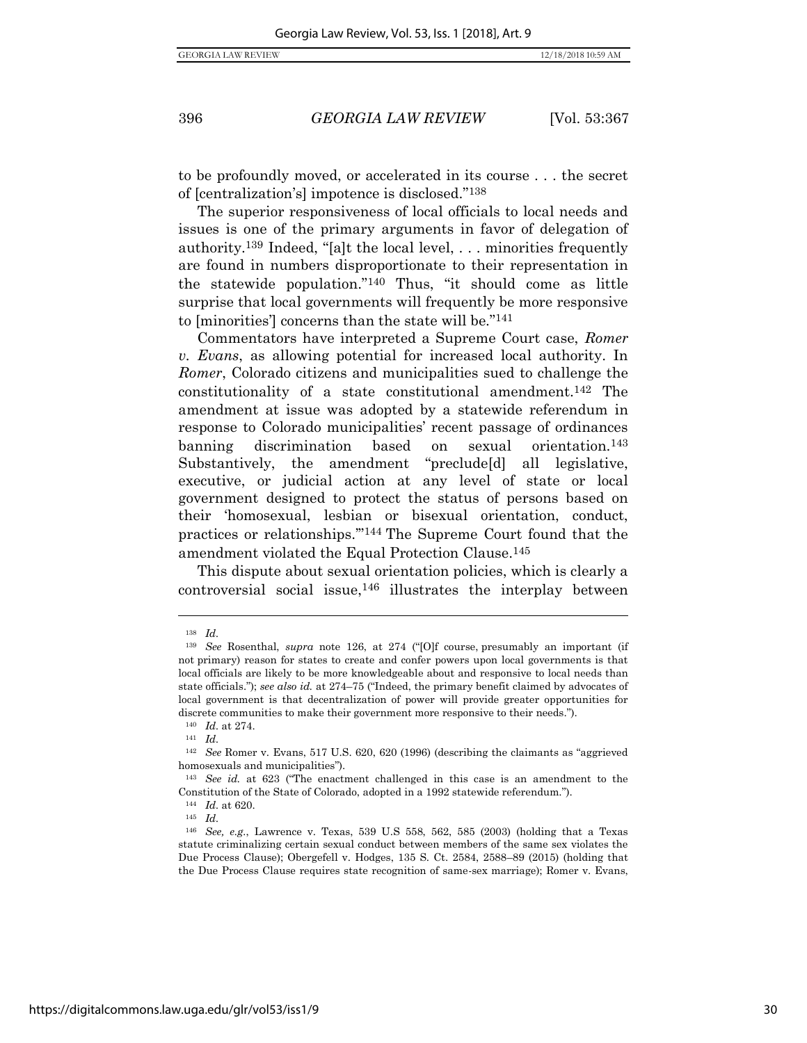to be profoundly moved, or accelerated in its course . . . the secret of [centralization's] impotence is disclosed."<sup>138</sup>

The superior responsiveness of local officials to local needs and issues is one of the primary arguments in favor of delegation of authority.<sup>139</sup> Indeed, "[a]t the local level, . . . minorities frequently are found in numbers disproportionate to their representation in the statewide population."<sup>140</sup> Thus, "it should come as little surprise that local governments will frequently be more responsive to [minorities'] concerns than the state will be."<sup>141</sup>

Commentators have interpreted a Supreme Court case, *Romer v. Evans*, as allowing potential for increased local authority. In *Romer*, Colorado citizens and municipalities sued to challenge the constitutionality of a state constitutional amendment.<sup>142</sup> The amendment at issue was adopted by a statewide referendum in response to Colorado municipalities' recent passage of ordinances banning discrimination based on sexual orientation.<sup>143</sup> Substantively, the amendment "preclude[d] all legislative, executive, or judicial action at any level of state or local government designed to protect the status of persons based on their 'homosexual, lesbian or bisexual orientation, conduct, practices or relationships.'"<sup>144</sup> The Supreme Court found that the amendment violated the Equal Protection Clause.<sup>145</sup>

This dispute about sexual orientation policies, which is clearly a controversial social issue,<sup>146</sup> illustrates the interplay between

<sup>138</sup> *Id.* 

<sup>139</sup> *See* Rosenthal, *supra* note [126](#page-29-0), at 274 ("[O]f course, presumably an important (if not primary) reason for states to create and confer powers upon local governments is that local officials are likely to be more knowledgeable about and responsive to local needs than state officials."); *see also id.* at 274–75 ("Indeed, the primary benefit claimed by advocates of local government is that decentralization of power will provide greater opportunities for discrete communities to make their government more responsive to their needs.").

<sup>140</sup> *Id.* at 274.

<sup>141</sup> *Id.* 

<sup>142</sup> *See* Romer v. Evans, 517 U.S. 620, 620 (1996) (describing the claimants as "aggrieved homosexuals and municipalities").

<sup>143</sup> *See id.* at 623 ("The enactment challenged in this case is an amendment to the Constitution of the State of Colorado, adopted in a 1992 statewide referendum.").

<sup>144</sup> *Id.* at 620.

<sup>145</sup> *Id.* 

<sup>146</sup> *See, e.g.*, Lawrence v. Texas, 539 U.S 558, 562, 585 (2003) (holding that a Texas statute criminalizing certain sexual conduct between members of the same sex violates the Due Process Clause); Obergefell v. Hodges, 135 S. Ct. 2584, 2588–89 (2015) (holding that the Due Process Clause requires state recognition of same-sex marriage); Romer v. Evans,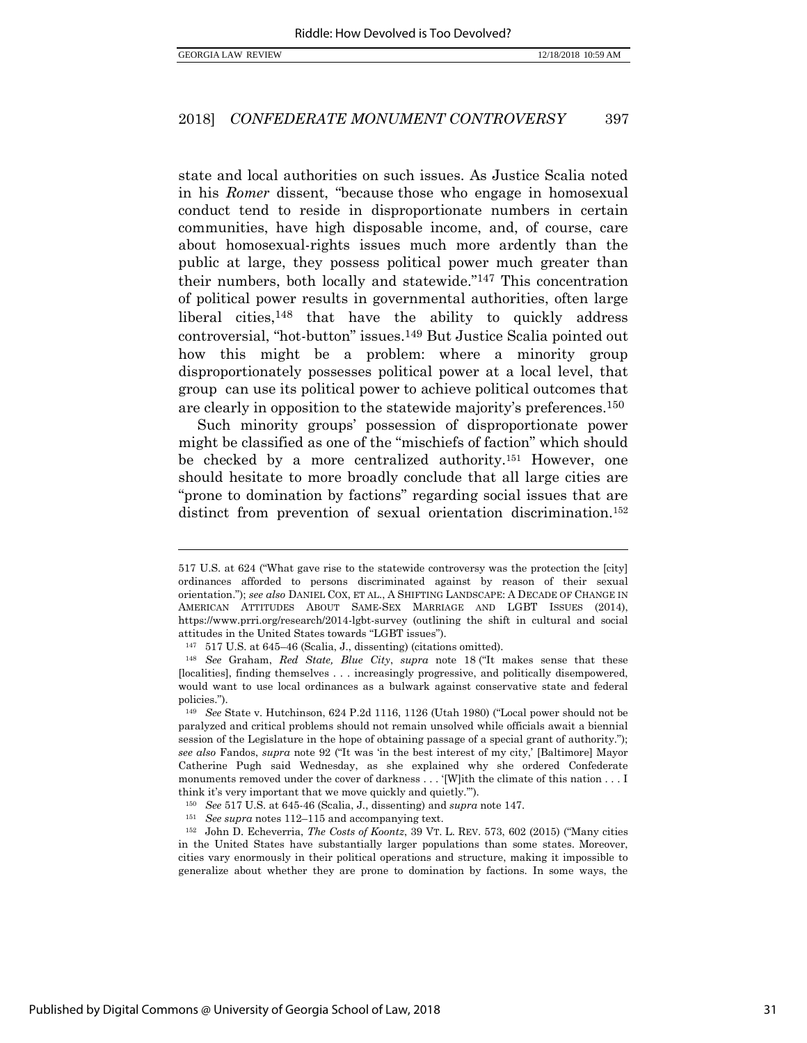$\overline{a}$ 

#### 2018] *CONFEDERATE MONUMENT CONTROVERSY* 397

state and local authorities on such issues. As Justice Scalia noted in his *Romer* dissent, "because those who engage in homosexual conduct tend to reside in disproportionate numbers in certain communities, have high disposable income, and, of course, care about homosexual-rights issues much more ardently than the public at large, they possess political power much greater than their numbers, both locally and statewide."<sup>147</sup> This concentration of political power results in governmental authorities, often large liberal cities,<sup>148</sup> that have the ability to quickly address controversial, "hot-button" issues.<sup>149</sup> But Justice Scalia pointed out how this might be a problem: where a minority group disproportionately possesses political power at a local level, that group can use its political power to achieve political outcomes that are clearly in opposition to the statewide majority's preferences.<sup>150</sup>

Such minority groups' possession of disproportionate power might be classified as one of the "mischiefs of faction" which should be checked by a more centralized authority.<sup>151</sup> However, one should hesitate to more broadly conclude that all large cities are "prone to domination by factions" regarding social issues that are distinct from prevention of sexual orientation discrimination.<sup>152</sup>

<sup>517</sup> U.S. at 624 ("What gave rise to the statewide controversy was the protection the [city] ordinances afforded to persons discriminated against by reason of their sexual orientation."); *see also* DANIEL COX, ET AL., A SHIFTING LANDSCAPE: A DECADE OF CHANGE IN AMERICAN ATTITUDES ABOUT SAME-SEX MARRIAGE AND LGBT ISSUES (2014), https://www.prri.org/research/2014-lgbt-survey (outlining the shift in cultural and social attitudes in the United States towards "LGBT issues").

<sup>147</sup> 517 U.S. at 645–46 (Scalia, J., dissenting) (citations omitted).

<sup>148</sup> *See* Graham, *Red State, Blue City*, *supra* note [18](#page-8-0) ("It makes sense that these [localities], finding themselves . . . increasingly progressive, and politically disempowered, would want to use local ordinances as a bulwark against conservative state and federal policies.").

<sup>149</sup> *See* State v. Hutchinson, 624 P.2d 1116, 1126 (Utah 1980) ("Local power should not be paralyzed and critical problems should not remain unsolved while officials await a biennial session of the Legislature in the hope of obtaining passage of a special grant of authority."); *see also* Fandos, *supra* note [92](#page-23-1) ("It was 'in the best interest of my city,' [Baltimore] Mayor Catherine Pugh said Wednesday, as she explained why she ordered Confederate monuments removed under the cover of darkness . . . '[W]ith the climate of this nation . . . I think it's very important that we move quickly and quietly.'").

<sup>150</sup> *See* 517 U.S. at 645-46 (Scalia, J., dissenting) and *supra* note 147.

<sup>151</sup> *See supra* note[s 112](#page-27-0)–[115](#page-27-1) and accompanying text.

<sup>152</sup> John D. Echeverria, *The Costs of Koontz*, 39 VT. L. REV. 573, 602 (2015) ("Many cities in the United States have substantially larger populations than some states. Moreover, cities vary enormously in their political operations and structure, making it impossible to generalize about whether they are prone to domination by factions. In some ways, the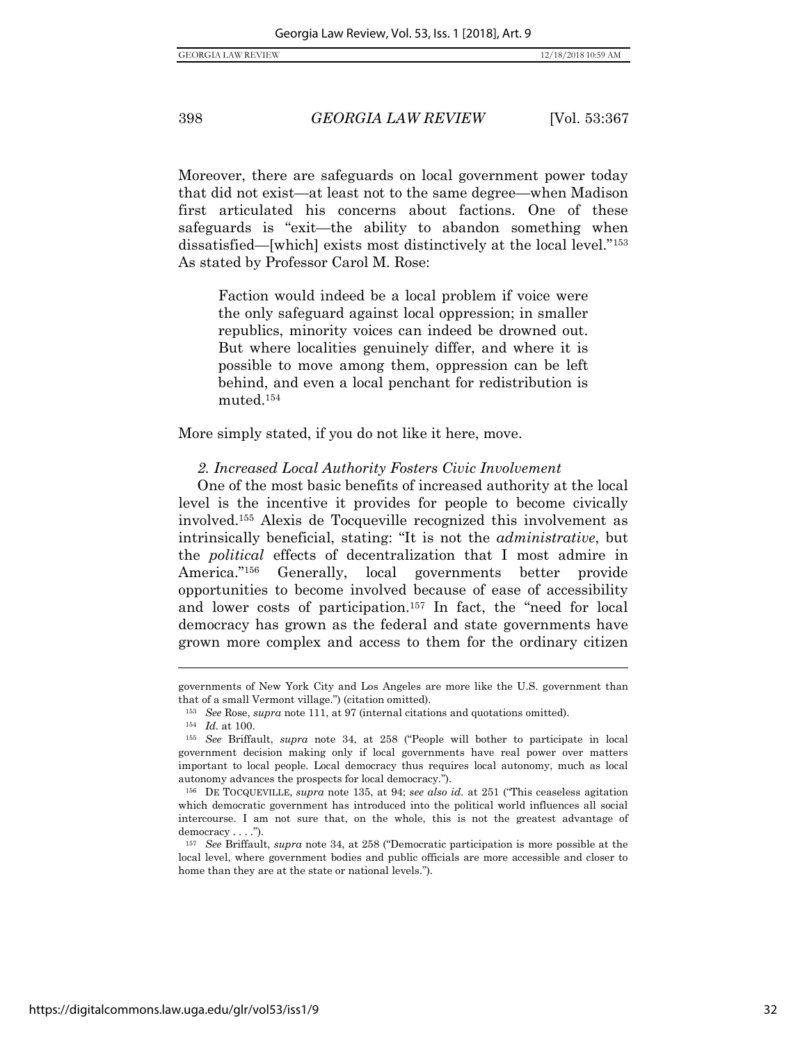Moreover, there are safeguards on local government power today that did not exist—at least not to the same degree—when Madison first articulated his concerns about factions. One of these safeguards is "exit—the ability to abandon something when dissatisfied—[which] exists most distinctively at the local level."<sup>153</sup> As stated by Professor Carol M. Rose:

Faction would indeed be a local problem if voice were the only safeguard against local oppression; in smaller republics, minority voices can indeed be drowned out. But where localities genuinely differ, and where it is possible to move among them, oppression can be left behind, and even a local penchant for redistribution is muted.<sup>154</sup>

More simply stated, if you do not like it here, move.

#### *2. Increased Local Authority Fosters Civic Involvement*

One of the most basic benefits of increased authority at the local level is the incentive it provides for people to become civically involved.<sup>155</sup> Alexis de Tocqueville recognized this involvement as intrinsically beneficial, stating: "It is not the *administrative*, but the *political* effects of decentralization that I most admire in America."<sup>156</sup> Generally, local governments better provide opportunities to become involved because of ease of accessibility and lower costs of participation.<sup>157</sup> In fact, the "need for local democracy has grown as the federal and state governments have grown more complex and access to them for the ordinary citizen

governments of New York City and Los Angeles are more like the U.S. government than that of a small Vermont village.") (citation omitted).

<sup>153</sup> *See* Rose, *supra* note [111,](#page-27-2) at 97 (internal citations and quotations omitted).

<sup>154</sup> *Id.* at 100.

<sup>155</sup> *See* Briffault, *supra* note [34](#page-13-0), at 258 ("People will bother to participate in local government decision making only if local governments have real power over matters important to local people. Local democracy thus requires local autonomy, much as local autonomy advances the prospects for local democracy.").

<sup>156</sup> DE TOCQUEVILLE, *supra* note 135, at 94; *see also id.* at 251 ("This ceaseless agitation which democratic government has introduced into the political world influences all social intercourse. I am not sure that, on the whole, this is not the greatest advantage of democracy . . . .").

<sup>157</sup> *See* Briffault, *supra* note [34](#page-13-0), at 258 ("Democratic participation is more possible at the local level, where government bodies and public officials are more accessible and closer to home than they are at the state or national levels.").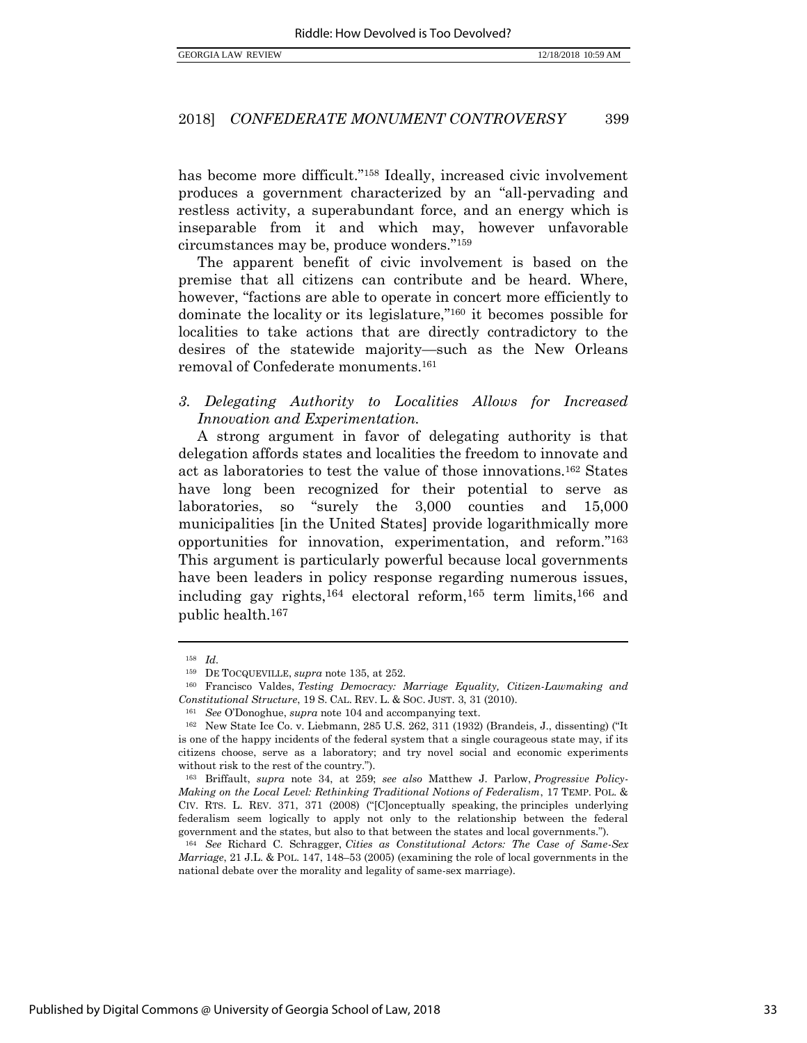has become more difficult."<sup>158</sup> Ideally, increased civic involvement produces a government characterized by an "all-pervading and restless activity, a superabundant force, and an energy which is inseparable from it and which may, however unfavorable circumstances may be, produce wonders."<sup>159</sup>

The apparent benefit of civic involvement is based on the premise that all citizens can contribute and be heard. Where, however, "factions are able to operate in concert more efficiently to dominate the locality or its legislature,"<sup>160</sup> it becomes possible for localities to take actions that are directly contradictory to the desires of the statewide majority—such as the New Orleans removal of Confederate monuments.<sup>161</sup>

## *3. Delegating Authority to Localities Allows for Increased Innovation and Experimentation.*

A strong argument in favor of delegating authority is that delegation affords states and localities the freedom to innovate and act as laboratories to test the value of those innovations.<sup>162</sup> States have long been recognized for their potential to serve as laboratories, so "surely the 3,000 counties and 15,000 municipalities [in the United States] provide logarithmically more opportunities for innovation, experimentation, and reform."<sup>163</sup> This argument is particularly powerful because local governments have been leaders in policy response regarding numerous issues, including gay rights,<sup>164</sup> electoral reform,<sup>165</sup> term limits,<sup>166</sup> and public health.<sup>167</sup>

<sup>158</sup> *Id.* 

<sup>159</sup> DE TOCQUEVILLE, *supra* note 135, at 252.

<sup>160</sup> Francisco Valdes, *Testing Democracy: Marriage Equality, Citizen-Lawmaking and Constitutional Structure*, 19 S. CAL. REV. L. & SOC. JUST. 3, 31 (2010).

<sup>161</sup> *See* O'Donoghue, *supra* not[e 104](#page-24-0) and accompanying text.

<sup>162</sup> New State Ice Co. v. Liebmann, 285 U.S. 262, 311 (1932) (Brandeis, J., dissenting) ("It is one of the happy incidents of the federal system that a single courageous state may, if its citizens choose, serve as a laboratory; and try novel social and economic experiments without risk to the rest of the country.").

<sup>163</sup> Briffault, *supra* note [34,](#page-13-0) at 259; *see also* Matthew J. Parlow, *Progressive Policy-Making on the Local Level: Rethinking Traditional Notions of Federalism*, 17 TEMP. POL. & CIV. RTS. L. REV. 371, 371 (2008) ("[C]onceptually speaking, the principles underlying federalism seem logically to apply not only to the relationship between the federal government and the states, but also to that between the states and local governments.").

<sup>164</sup> *See* Richard C. Schragger, *Cities as Constitutional Actors: The Case of Same-Sex Marriage*, 21 J.L. & POL. 147, 148–53 (2005) (examining the role of local governments in the national debate over the morality and legality of same-sex marriage).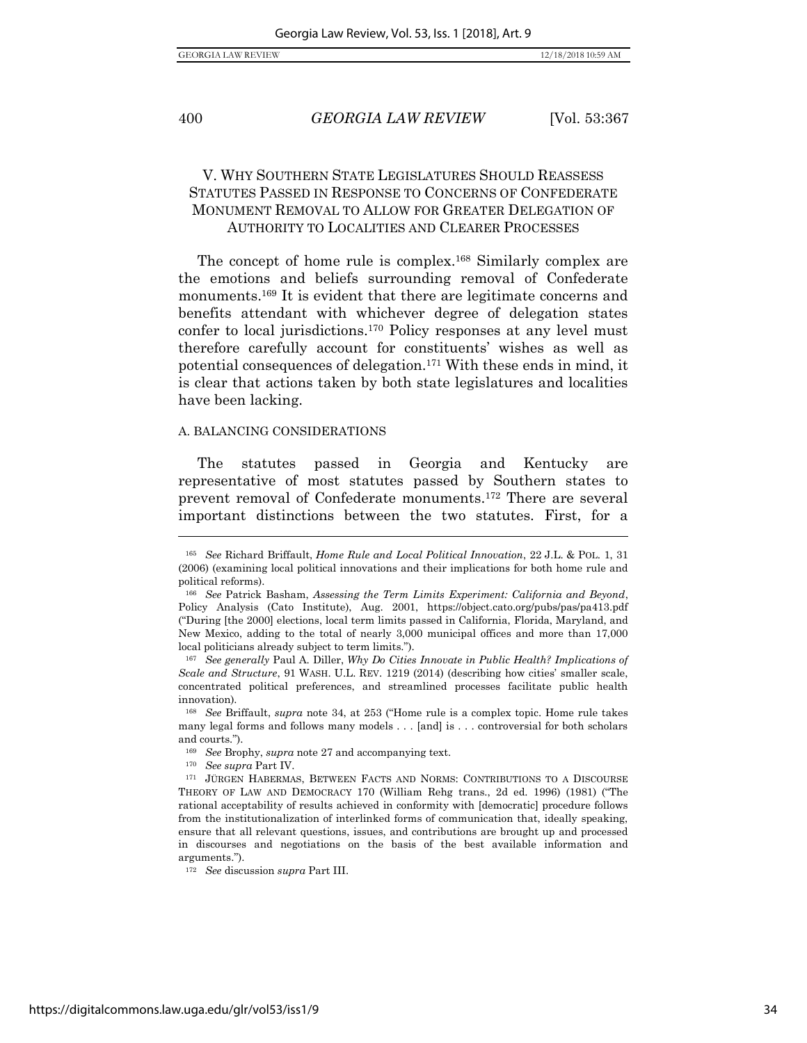$\overline{a}$ 

#### 400 *GEORGIA LAW REVIEW* [Vol. 53:367

## V. WHY SOUTHERN STATE LEGISLATURES SHOULD REASSESS STATUTES PASSED IN RESPONSE TO CONCERNS OF CONFEDERATE MONUMENT REMOVAL TO ALLOW FOR GREATER DELEGATION OF AUTHORITY TO LOCALITIES AND CLEARER PROCESSES

The concept of home rule is complex.<sup>168</sup> Similarly complex are the emotions and beliefs surrounding removal of Confederate monuments.<sup>169</sup> It is evident that there are legitimate concerns and benefits attendant with whichever degree of delegation states confer to local jurisdictions.<sup>170</sup> Policy responses at any level must therefore carefully account for constituents' wishes as well as potential consequences of delegation.<sup>171</sup> With these ends in mind, it is clear that actions taken by both state legislatures and localities have been lacking.

#### A. BALANCING CONSIDERATIONS

The statutes passed in Georgia and Kentucky are representative of most statutes passed by Southern states to prevent removal of Confederate monuments.<sup>172</sup> There are several important distinctions between the two statutes. First, for a

<sup>170</sup> *See supra* Part IV.

<sup>165</sup> *See* Richard Briffault, *Home Rule and Local Political Innovation*, 22 J.L. & POL. 1, 31 (2006) (examining local political innovations and their implications for both home rule and political reforms).

<sup>166</sup> *See* Patrick Basham, *Assessing the Term Limits Experiment: California and Beyond*, Policy Analysis (Cato Institute), Aug. 2001, https://object.cato.org/pubs/pas/pa413.pdf ("During [the 2000] elections, local term limits passed in California, Florida, Maryland, and New Mexico, adding to the total of nearly 3,000 municipal offices and more than 17,000 local politicians already subject to term limits.").

<sup>167</sup> *See generally* Paul A. Diller, *Why Do Cities Innovate in Public Health? Implications of Scale and Structure*, 91 WASH. U.L. REV. 1219 (2014) (describing how cities' smaller scale, concentrated political preferences, and streamlined processes facilitate public health innovation).

<sup>168</sup> *See* Briffault, *supra* note [34,](#page-13-0) at 253 ("Home rule is a complex topic. Home rule takes many legal forms and follows many models . . . [and] is . . . controversial for both scholars and courts.").

<sup>169</sup> *See* Brophy, *supra* not[e 27](#page-10-0) and accompanying text.

<sup>171</sup> JÜRGEN HABERMAS, BETWEEN FACTS AND NORMS: CONTRIBUTIONS TO A DISCOURSE THEORY OF LAW AND DEMOCRACY 170 (William Rehg trans., 2d ed. 1996) (1981) ("The rational acceptability of results achieved in conformity with [democratic] procedure follows from the institutionalization of interlinked forms of communication that, ideally speaking, ensure that all relevant questions, issues, and contributions are brought up and processed in discourses and negotiations on the basis of the best available information and arguments.").

<sup>172</sup> *See* discussion *supra* Part III.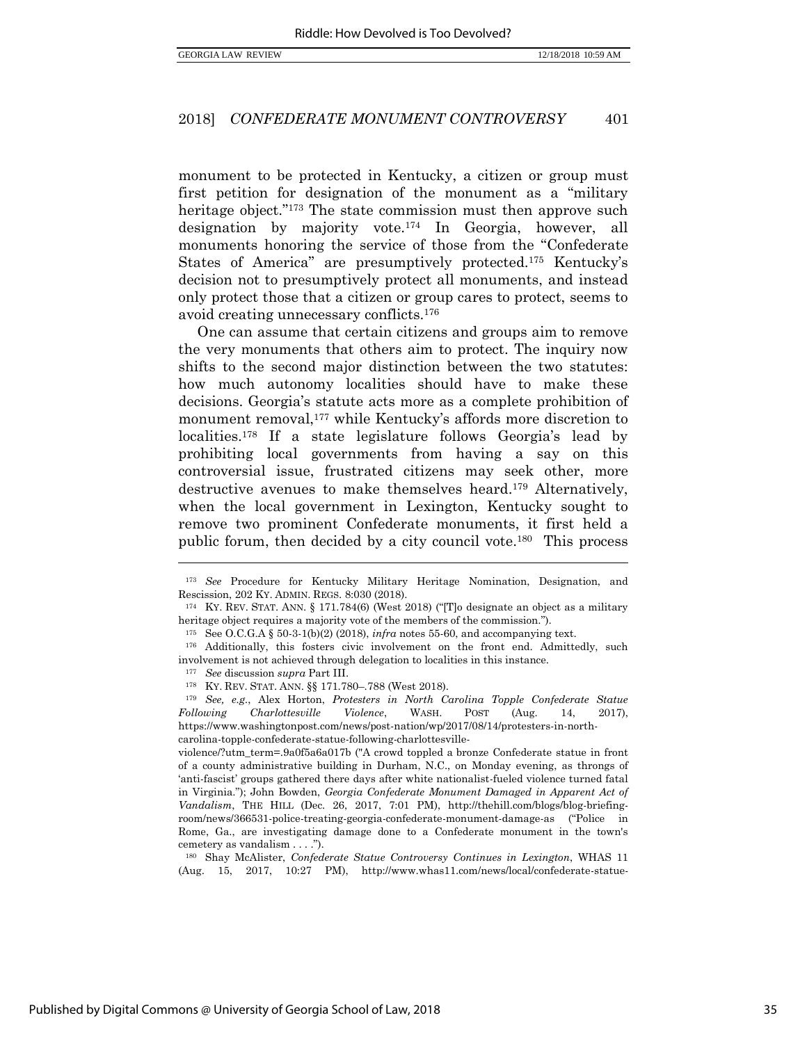monument to be protected in Kentucky, a citizen or group must first petition for designation of the monument as a "military heritage object."<sup>173</sup> The state commission must then approve such designation by majority vote.<sup>174</sup> In Georgia, however, all monuments honoring the service of those from the "Confederate States of America" are presumptively protected.<sup>175</sup> Kentucky's decision not to presumptively protect all monuments, and instead only protect those that a citizen or group cares to protect, seems to avoid creating unnecessary conflicts.<sup>176</sup>

One can assume that certain citizens and groups aim to remove the very monuments that others aim to protect. The inquiry now shifts to the second major distinction between the two statutes: how much autonomy localities should have to make these decisions. Georgia's statute acts more as a complete prohibition of monument removal,<sup>177</sup> while Kentucky's affords more discretion to localities.<sup>178</sup> If a state legislature follows Georgia's lead by prohibiting local governments from having a say on this controversial issue, frustrated citizens may seek other, more destructive avenues to make themselves heard.<sup>179</sup> Alternatively, when the local government in Lexington, Kentucky sought to remove two prominent Confederate monuments, it first held a public forum, then decided by a city council vote.<sup>180</sup> This process

<span id="page-36-0"></span><sup>173</sup> *See* Procedure for Kentucky Military Heritage Nomination, Designation, and Rescission, 202 KY. ADMIN. REGS. 8:030 (2018).

<sup>174</sup> KY. REV. STAT. ANN. § 171.784(6) (West 2018) ("[T]o designate an object as a military heritage object requires a majority vote of the members of the commission.").

<sup>&</sup>lt;sup>175</sup> See O.C.G.A § 50-3-1(b)(2) (2018), *infra* notes [55-](#page-17-2)60, and accompanying text.

<sup>176</sup> Additionally, this fosters civic involvement on the front end. Admittedly, such involvement is not achieved through delegation to localities in this instance.

<sup>177</sup> *See* discussion *supra* Part III.

<sup>178</sup> KY. REV. STAT. ANN. §§ 171.780–.788 (West 2018).

<sup>179</sup> *See, e.g.*, Alex Horton, *Protesters in North Carolina Topple Confederate Statue Following Charlottesville Violence*, WASH. POST (Aug. 14, 2017), https://www.washingtonpost.com/news/post-nation/wp/2017/08/14/protesters-in-northcarolina-topple-confederate-statue-following-charlottesville-

violence/?utm\_term=.9a0f5a6a017b ("A crowd toppled a bronze Confederate statue in front of a county administrative building in Durham, N.C., on Monday evening, as throngs of 'anti-fascist' groups gathered there days after white nationalist-fueled violence turned fatal in Virginia."); John Bowden, *Georgia Confederate Monument Damaged in Apparent Act of Vandalism*, THE HILL (Dec. 26, 2017, 7:01 PM), http://thehill.com/blogs/blog-briefingroom/news/366531-police-treating-georgia-confederate-monument-damage-as ("Police in Rome, Ga., are investigating damage done to a Confederate monument in the town's cemetery as vandalism . . . .").

<sup>180</sup> Shay McAlister, *Confederate Statue Controversy Continues in Lexington*, WHAS 11 (Aug. 15, 2017, 10:27 PM), http://www.whas11.com/news/local/confederate-statue-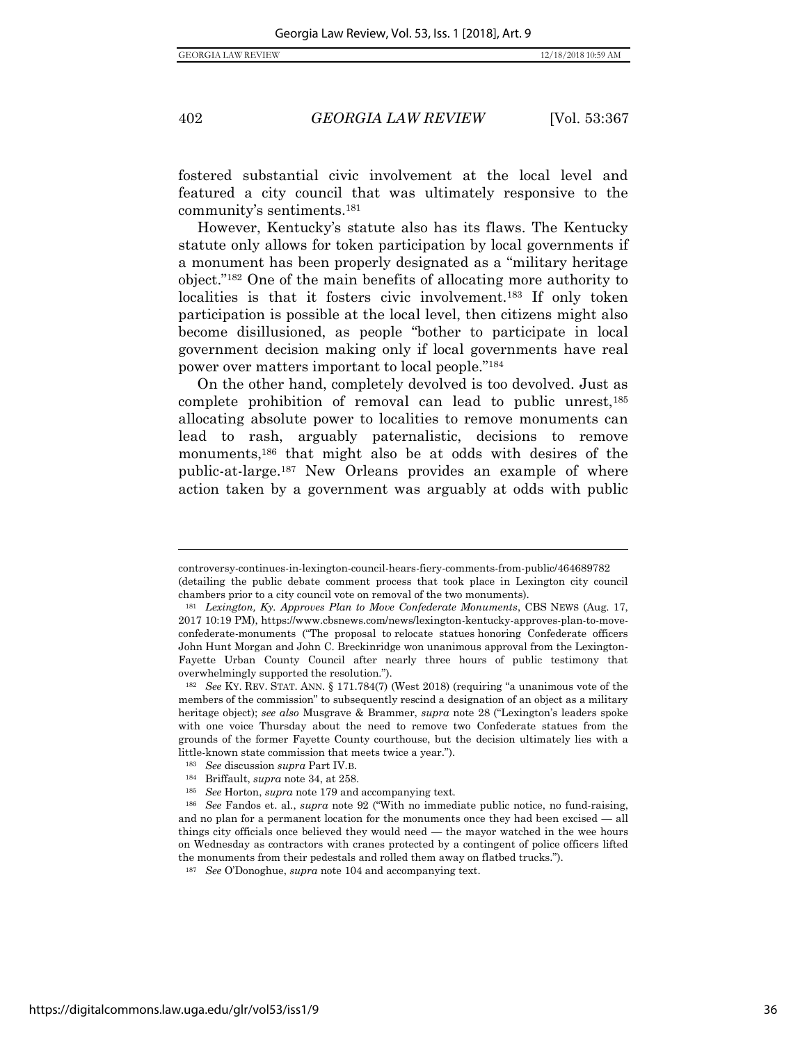$\overline{a}$ 

402 *GEORGIA LAW REVIEW* [Vol. 53:367

fostered substantial civic involvement at the local level and featured a city council that was ultimately responsive to the community's sentiments.<sup>181</sup>

However, Kentucky's statute also has its flaws. The Kentucky statute only allows for token participation by local governments if a monument has been properly designated as a "military heritage object."<sup>182</sup> One of the main benefits of allocating more authority to localities is that it fosters civic involvement.<sup>183</sup> If only token participation is possible at the local level, then citizens might also become disillusioned, as people "bother to participate in local government decision making only if local governments have real power over matters important to local people."<sup>184</sup>

On the other hand, completely devolved is too devolved. Just as complete prohibition of removal can lead to public unrest,<sup>185</sup> allocating absolute power to localities to remove monuments can lead to rash, arguably paternalistic, decisions to remove monuments,<sup>186</sup> that might also be at odds with desires of the public-at-large.<sup>187</sup> New Orleans provides an example of where action taken by a government was arguably at odds with public

controversy-continues-in-lexington-council-hears-fiery-comments-from-public/464689782 (detailing the public debate comment process that took place in Lexington city council chambers prior to a city council vote on removal of the two monuments).

<sup>181</sup> *Lexington, Ky. Approves Plan to Move Confederate Monuments*, CBS NEWS (Aug. 17, 2017 10:19 PM), https://www.cbsnews.com/news/lexington-kentucky-approves-plan-to-moveconfederate-monuments ("The proposal to [relocate statues](https://www.cbsnews.com/news/kentucky-mayor-moves-to-remove-2-confederate-statues-after-charlottesville-protests/) honoring Confederate officers John Hunt Morgan and John C. Breckinridge won unanimous approval from the Lexington-Fayette Urban County Council after nearly three hours of public testimony that overwhelmingly supported the resolution.").

<sup>182</sup> *See* KY. REV. STAT. ANN. § 171.784(7) (West 2018) (requiring "a unanimous vote of the members of the commission" to subsequently rescind a designation of an object as a military heritage object); *see also* Musgrave & Brammer, *supra* note [28](#page-11-0) ("Lexington's leaders spoke with one voice Thursday about the need to remove two Confederate statues from the grounds of the former Fayette County courthouse, but the decision ultimately lies with a little-known state commission that meets twice a year.").

<sup>183</sup> *See* discussion *supra* Part IV.B.

<sup>184</sup> Briffault, *supra* note [34,](#page-13-0) at 258.

<sup>185</sup> *See* Horton, *supra* not[e 179](#page-36-0) and accompanying text.

<sup>186</sup> *See* Fandos et. al., *supra* note [92](#page-23-1) ("With no immediate public notice, no fund-raising, and no plan for a permanent location for the monuments once they had been excised — all things city officials once believed they would need — the mayor watched in the wee hours on Wednesday as contractors with cranes protected by a contingent of police officers lifted the monuments from their pedestals and rolled them away on flatbed trucks.").

<sup>187</sup> *See* O'Donoghue, *supra* not[e 104](#page-24-0) and accompanying text.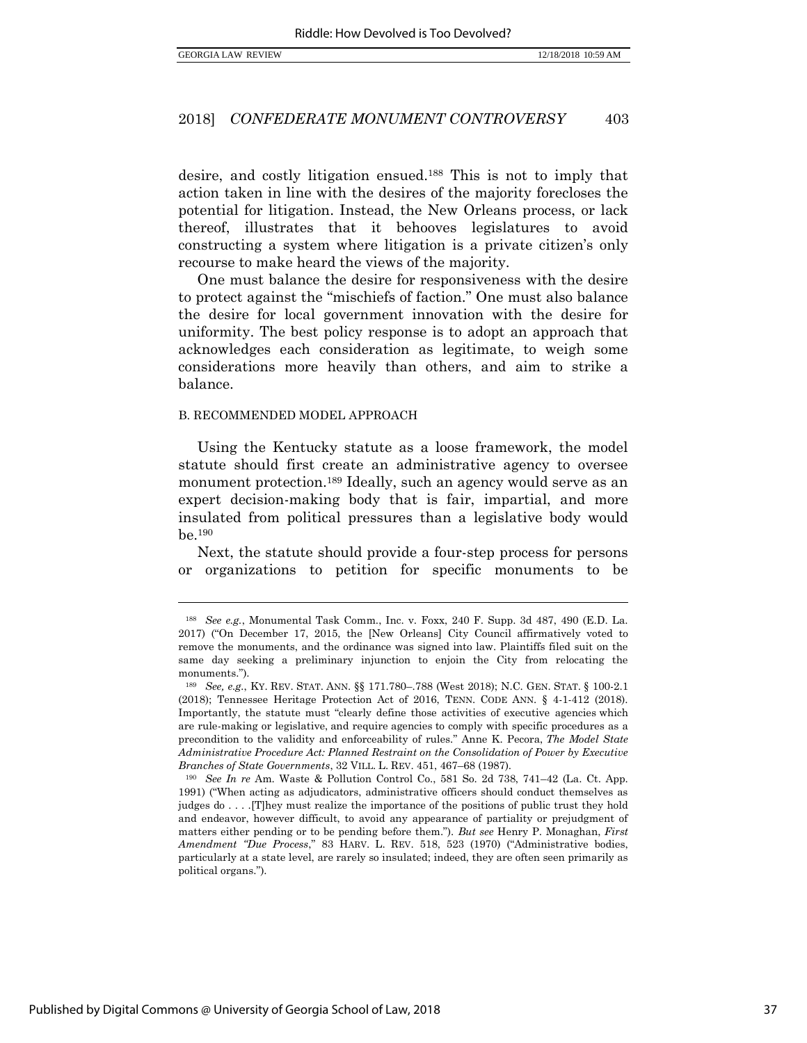desire, and costly litigation ensued.<sup>188</sup> This is not to imply that action taken in line with the desires of the majority forecloses the potential for litigation. Instead, the New Orleans process, or lack thereof, illustrates that it behooves legislatures to avoid constructing a system where litigation is a private citizen's only recourse to make heard the views of the majority.

One must balance the desire for responsiveness with the desire to protect against the "mischiefs of faction." One must also balance the desire for local government innovation with the desire for uniformity. The best policy response is to adopt an approach that acknowledges each consideration as legitimate, to weigh some considerations more heavily than others, and aim to strike a balance.

#### B. RECOMMENDED MODEL APPROACH

Using the Kentucky statute as a loose framework, the model statute should first create an administrative agency to oversee monument protection.<sup>189</sup> Ideally, such an agency would serve as an expert decision-making body that is fair, impartial, and more insulated from political pressures than a legislative body would be.<sup>190</sup>

Next, the statute should provide a four-step process for persons or organizations to petition for specific monuments to be

<sup>188</sup> *See e.g.*, Monumental Task Comm., Inc. v. Foxx, 240 F. Supp. 3d 487, 490 (E.D. La. 2017) ("On December 17, 2015, the [New Orleans] City Council affirmatively voted to remove the monuments, and the ordinance was signed into law. Plaintiffs filed suit on the same day seeking a preliminary injunction to enjoin the City from relocating the monuments.").

<sup>189</sup> *See, e.g.*, KY. REV. STAT. ANN. §§ 171.780–.788 (West 2018); N.C. GEN. STAT. § 100-2.1 (2018); Tennessee Heritage Protection Act of 2016, TENN. CODE ANN. § 4-1-412 (2018). Importantly, the statute must "clearly define those activities of executive agencies which are rule-making or legislative, and require agencies to comply with specific procedures as a precondition to the validity and enforceability of rules." Anne K. Pecora, *The Model State Administrative Procedure Act: Planned Restraint on the Consolidation of Power by Executive Branches of State Governments*, 32 VILL. L. REV. 451, 467–68 (1987).

<sup>190</sup> *See In re* Am. Waste & Pollution Control Co., 581 So. 2d 738, 741–42 (La. Ct. App. 1991) ("When acting as adjudicators, administrative officers should conduct themselves as judges do . . . .[T]hey must realize the importance of the positions of public trust they hold and endeavor, however difficult, to avoid any appearance of partiality or prejudgment of matters either pending or to be pending before them."). *But see* Henry P. Monaghan, *First Amendment "Due Process*," 83 HARV. L. REV. 518, 523 (1970) ("Administrative bodies, particularly at a state level, are rarely so insulated; indeed, they are often seen primarily as political organs.").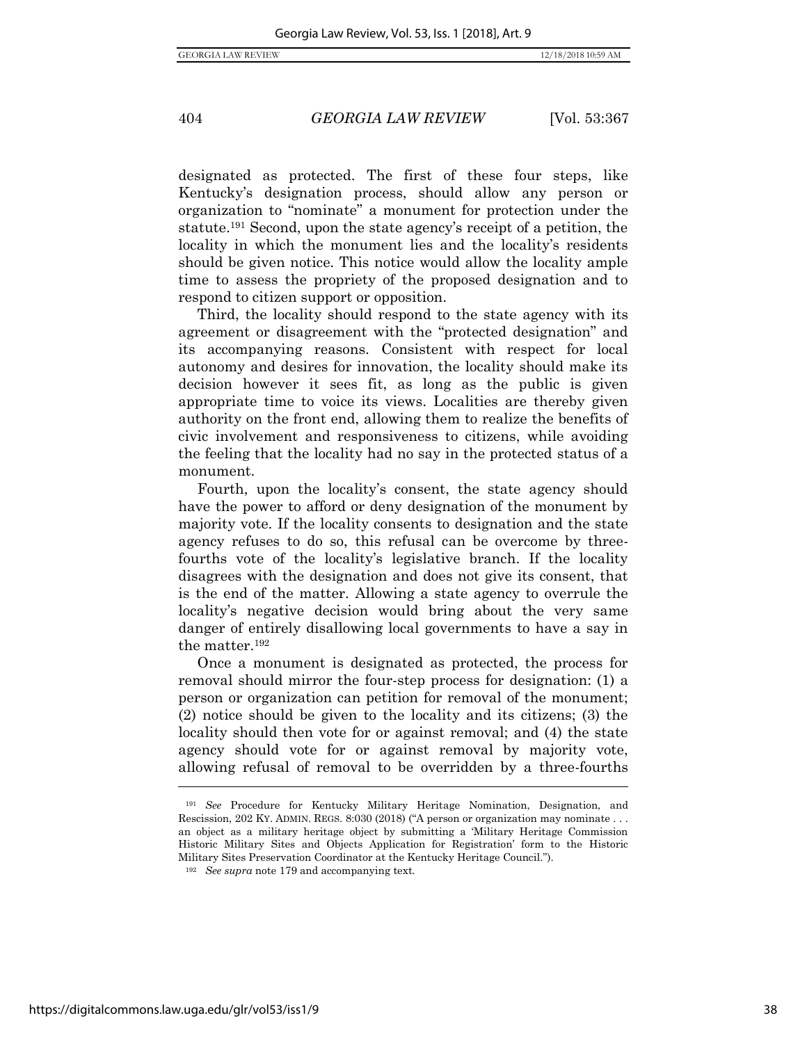designated as protected. The first of these four steps, like Kentucky's designation process, should allow any person or organization to "nominate" a monument for protection under the statute.<sup>191</sup> Second, upon the state agency's receipt of a petition, the locality in which the monument lies and the locality's residents should be given notice. This notice would allow the locality ample time to assess the propriety of the proposed designation and to respond to citizen support or opposition.

Third, the locality should respond to the state agency with its agreement or disagreement with the "protected designation" and its accompanying reasons. Consistent with respect for local autonomy and desires for innovation, the locality should make its decision however it sees fit, as long as the public is given appropriate time to voice its views. Localities are thereby given authority on the front end, allowing them to realize the benefits of civic involvement and responsiveness to citizens, while avoiding the feeling that the locality had no say in the protected status of a monument.

Fourth, upon the locality's consent, the state agency should have the power to afford or deny designation of the monument by majority vote. If the locality consents to designation and the state agency refuses to do so, this refusal can be overcome by threefourths vote of the locality's legislative branch. If the locality disagrees with the designation and does not give its consent, that is the end of the matter. Allowing a state agency to overrule the locality's negative decision would bring about the very same danger of entirely disallowing local governments to have a say in the matter.<sup>192</sup>

Once a monument is designated as protected, the process for removal should mirror the four-step process for designation: (1) a person or organization can petition for removal of the monument; (2) notice should be given to the locality and its citizens; (3) the locality should then vote for or against removal; and (4) the state agency should vote for or against removal by majority vote, allowing refusal of removal to be overridden by a three-fourths

<sup>191</sup> *See* Procedure for Kentucky Military Heritage Nomination, Designation, and Rescission, 202 KY. ADMIN. REGS. 8:030 (2018) ("A person or organization may nominate . . . an object as a military heritage object by submitting a 'Military Heritage Commission Historic Military Sites and Objects Application for Registration' form to the Historic Military Sites Preservation Coordinator at the Kentucky Heritage Council.").

<sup>192</sup> *See supra* note [179](#page-36-0) and accompanying text.